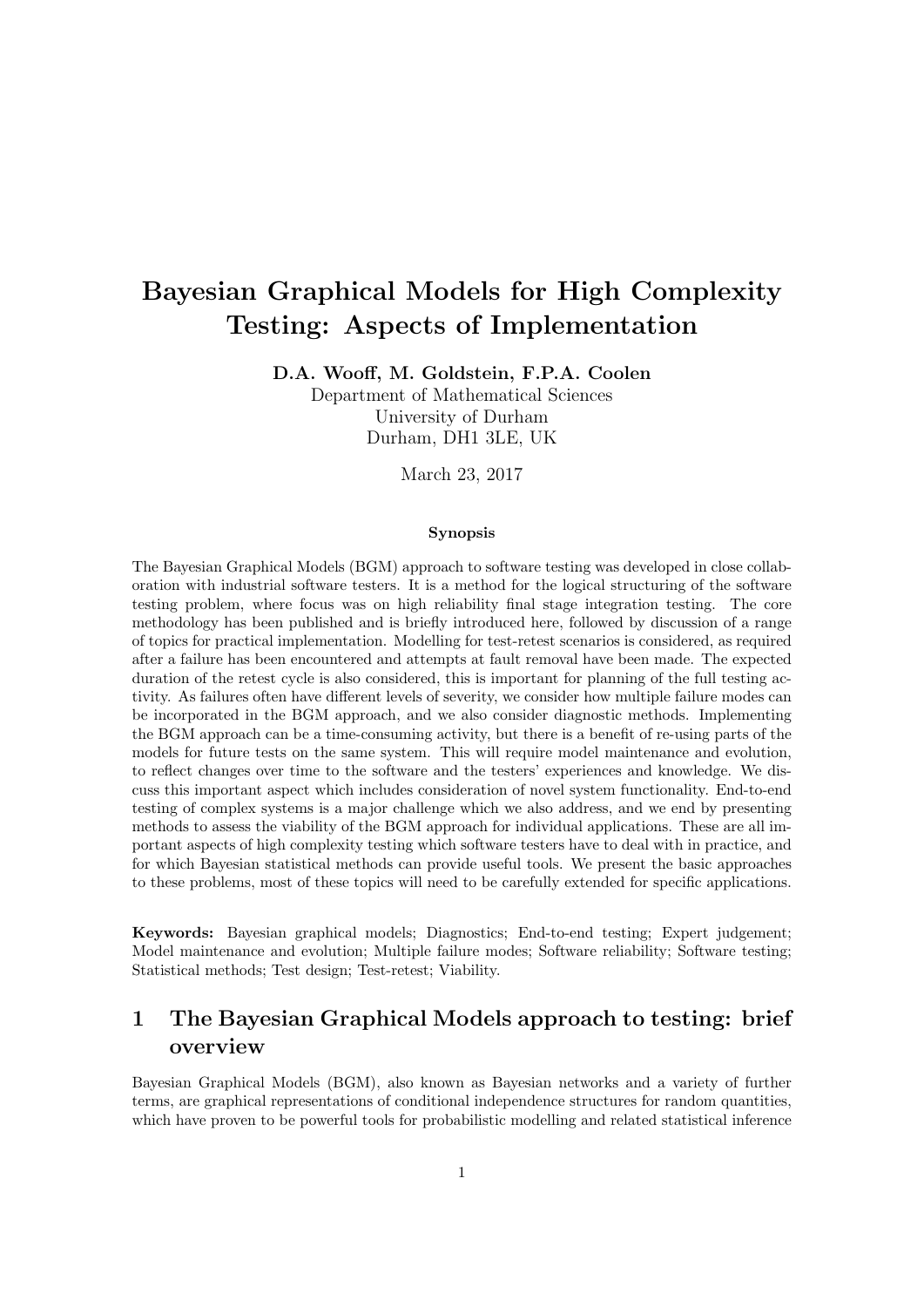# Bayesian Graphical Models for High Complexity Testing: Aspects of Implementation

D.A. Wooff, M. Goldstein, F.P.A. Coolen

Department of Mathematical Sciences University of Durham Durham, DH1 3LE, UK

March 23, 2017

#### Synopsis

The Bayesian Graphical Models (BGM) approach to software testing was developed in close collaboration with industrial software testers. It is a method for the logical structuring of the software testing problem, where focus was on high reliability final stage integration testing. The core methodology has been published and is briefly introduced here, followed by discussion of a range of topics for practical implementation. Modelling for test-retest scenarios is considered, as required after a failure has been encountered and attempts at fault removal have been made. The expected duration of the retest cycle is also considered, this is important for planning of the full testing activity. As failures often have different levels of severity, we consider how multiple failure modes can be incorporated in the BGM approach, and we also consider diagnostic methods. Implementing the BGM approach can be a time-consuming activity, but there is a benefit of re-using parts of the models for future tests on the same system. This will require model maintenance and evolution, to reflect changes over time to the software and the testers' experiences and knowledge. We discuss this important aspect which includes consideration of novel system functionality. End-to-end testing of complex systems is a major challenge which we also address, and we end by presenting methods to assess the viability of the BGM approach for individual applications. These are all important aspects of high complexity testing which software testers have to deal with in practice, and for which Bayesian statistical methods can provide useful tools. We present the basic approaches to these problems, most of these topics will need to be carefully extended for specific applications.

Keywords: Bayesian graphical models; Diagnostics; End-to-end testing; Expert judgement; Model maintenance and evolution; Multiple failure modes; Software reliability; Software testing; Statistical methods; Test design; Test-retest; Viability.

# 1 The Bayesian Graphical Models approach to testing: brief overview

Bayesian Graphical Models (BGM), also known as Bayesian networks and a variety of further terms, are graphical representations of conditional independence structures for random quantities, which have proven to be powerful tools for probabilistic modelling and related statistical inference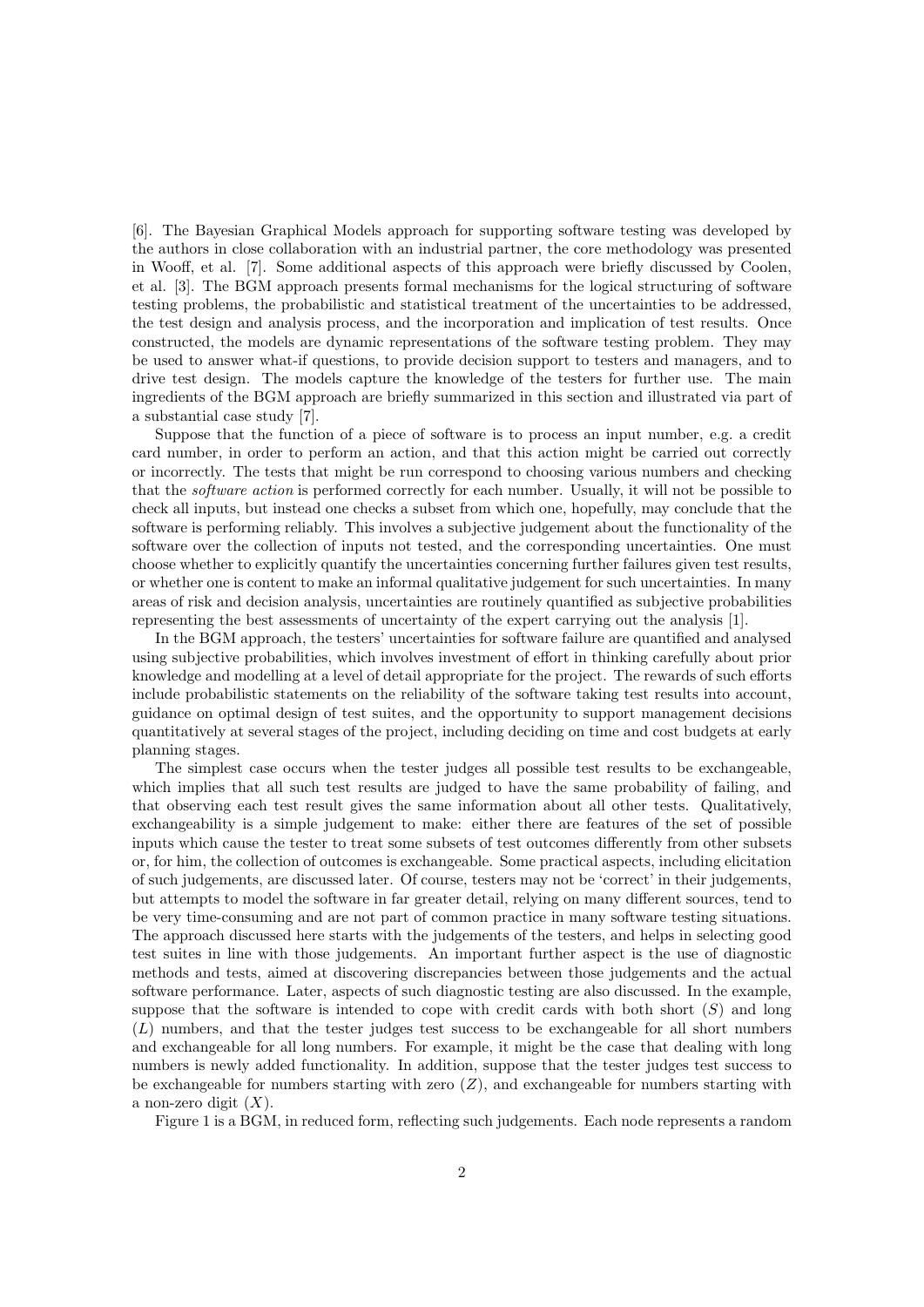[6]. The Bayesian Graphical Models approach for supporting software testing was developed by the authors in close collaboration with an industrial partner, the core methodology was presented in Wooff, et al. [7]. Some additional aspects of this approach were briefly discussed by Coolen, et al. [3]. The BGM approach presents formal mechanisms for the logical structuring of software testing problems, the probabilistic and statistical treatment of the uncertainties to be addressed, the test design and analysis process, and the incorporation and implication of test results. Once constructed, the models are dynamic representations of the software testing problem. They may be used to answer what-if questions, to provide decision support to testers and managers, and to drive test design. The models capture the knowledge of the testers for further use. The main ingredients of the BGM approach are briefly summarized in this section and illustrated via part of a substantial case study [7].

Suppose that the function of a piece of software is to process an input number, e.g. a credit card number, in order to perform an action, and that this action might be carried out correctly or incorrectly. The tests that might be run correspond to choosing various numbers and checking that the software action is performed correctly for each number. Usually, it will not be possible to check all inputs, but instead one checks a subset from which one, hopefully, may conclude that the software is performing reliably. This involves a subjective judgement about the functionality of the software over the collection of inputs not tested, and the corresponding uncertainties. One must choose whether to explicitly quantify the uncertainties concerning further failures given test results, or whether one is content to make an informal qualitative judgement for such uncertainties. In many areas of risk and decision analysis, uncertainties are routinely quantified as subjective probabilities representing the best assessments of uncertainty of the expert carrying out the analysis [1].

In the BGM approach, the testers' uncertainties for software failure are quantified and analysed using subjective probabilities, which involves investment of effort in thinking carefully about prior knowledge and modelling at a level of detail appropriate for the project. The rewards of such efforts include probabilistic statements on the reliability of the software taking test results into account, guidance on optimal design of test suites, and the opportunity to support management decisions quantitatively at several stages of the project, including deciding on time and cost budgets at early planning stages.

The simplest case occurs when the tester judges all possible test results to be exchangeable, which implies that all such test results are judged to have the same probability of failing, and that observing each test result gives the same information about all other tests. Qualitatively, exchangeability is a simple judgement to make: either there are features of the set of possible inputs which cause the tester to treat some subsets of test outcomes differently from other subsets or, for him, the collection of outcomes is exchangeable. Some practical aspects, including elicitation of such judgements, are discussed later. Of course, testers may not be 'correct' in their judgements, but attempts to model the software in far greater detail, relying on many different sources, tend to be very time-consuming and are not part of common practice in many software testing situations. The approach discussed here starts with the judgements of the testers, and helps in selecting good test suites in line with those judgements. An important further aspect is the use of diagnostic methods and tests, aimed at discovering discrepancies between those judgements and the actual software performance. Later, aspects of such diagnostic testing are also discussed. In the example, suppose that the software is intended to cope with credit cards with both short  $(S)$  and long (L) numbers, and that the tester judges test success to be exchangeable for all short numbers and exchangeable for all long numbers. For example, it might be the case that dealing with long numbers is newly added functionality. In addition, suppose that the tester judges test success to be exchangeable for numbers starting with zero  $(Z)$ , and exchangeable for numbers starting with a non-zero digit  $(X)$ .

Figure 1 is a BGM, in reduced form, reflecting such judgements. Each node represents a random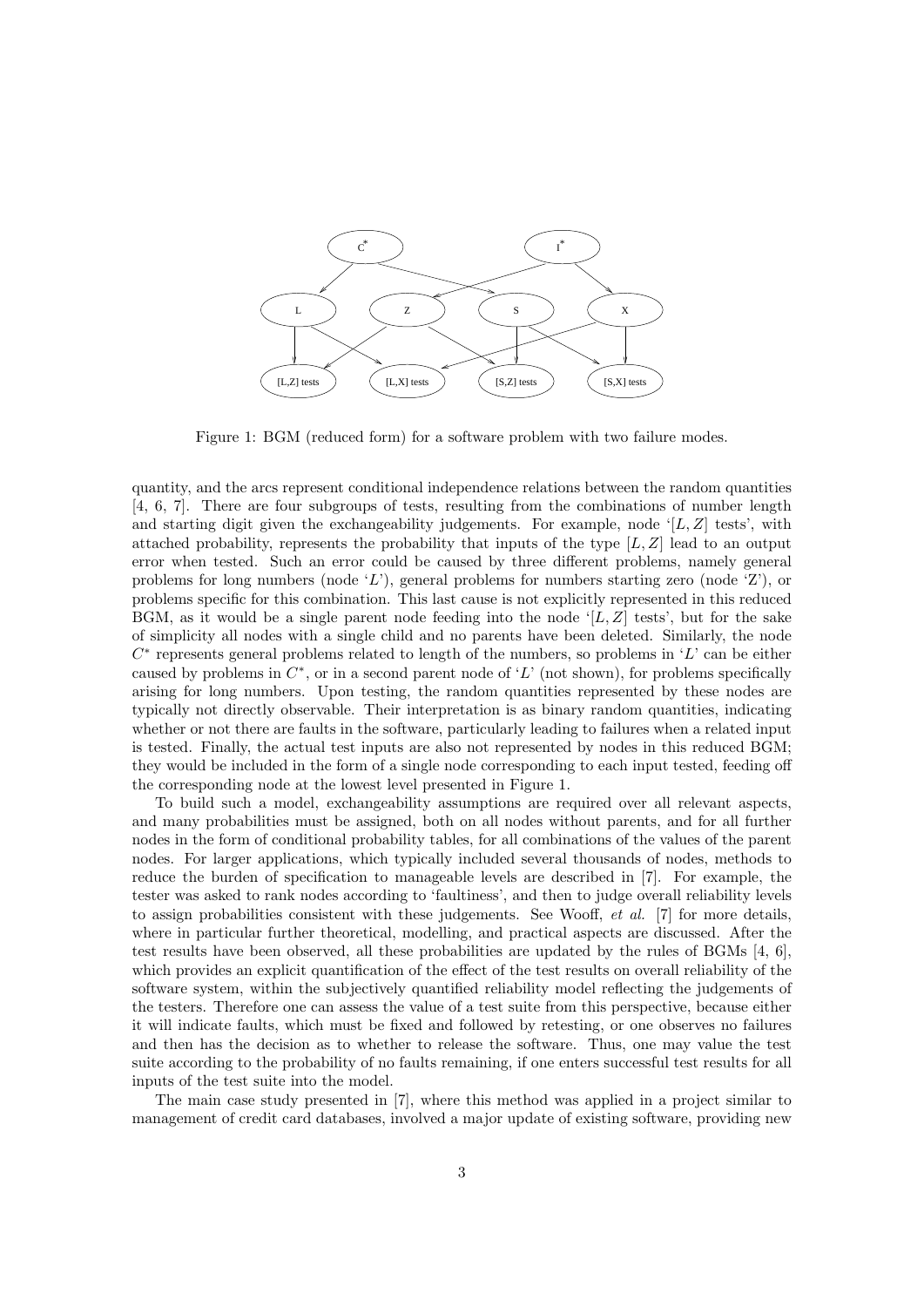

Figure 1: BGM (reduced form) for a software problem with two failure modes.

quantity, and the arcs represent conditional independence relations between the random quantities [4, 6, 7]. There are four subgroups of tests, resulting from the combinations of number length and starting digit given the exchangeability judgements. For example, node  $'[L, Z]$  tests', with attached probability, represents the probability that inputs of the type  $[L, Z]$  lead to an output error when tested. Such an error could be caused by three different problems, namely general problems for long numbers (node 'L'), general problems for numbers starting zero (node 'Z'), or problems specific for this combination. This last cause is not explicitly represented in this reduced BGM, as it would be a single parent node feeding into the node  $\{L, Z\}$  tests', but for the sake of simplicity all nodes with a single child and no parents have been deleted. Similarly, the node  $C^*$  represents general problems related to length of the numbers, so problems in 'L' can be either caused by problems in  $C^*$ , or in a second parent node of 'L' (not shown), for problems specifically arising for long numbers. Upon testing, the random quantities represented by these nodes are typically not directly observable. Their interpretation is as binary random quantities, indicating whether or not there are faults in the software, particularly leading to failures when a related input is tested. Finally, the actual test inputs are also not represented by nodes in this reduced BGM; they would be included in the form of a single node corresponding to each input tested, feeding off the corresponding node at the lowest level presented in Figure 1.

To build such a model, exchangeability assumptions are required over all relevant aspects, and many probabilities must be assigned, both on all nodes without parents, and for all further nodes in the form of conditional probability tables, for all combinations of the values of the parent nodes. For larger applications, which typically included several thousands of nodes, methods to reduce the burden of specification to manageable levels are described in [7]. For example, the tester was asked to rank nodes according to 'faultiness', and then to judge overall reliability levels to assign probabilities consistent with these judgements. See Wooff, *et al.* [7] for more details, where in particular further theoretical, modelling, and practical aspects are discussed. After the test results have been observed, all these probabilities are updated by the rules of BGMs [4, 6], which provides an explicit quantification of the effect of the test results on overall reliability of the software system, within the subjectively quantified reliability model reflecting the judgements of the testers. Therefore one can assess the value of a test suite from this perspective, because either it will indicate faults, which must be fixed and followed by retesting, or one observes no failures and then has the decision as to whether to release the software. Thus, one may value the test suite according to the probability of no faults remaining, if one enters successful test results for all inputs of the test suite into the model.

The main case study presented in [7], where this method was applied in a project similar to management of credit card databases, involved a major update of existing software, providing new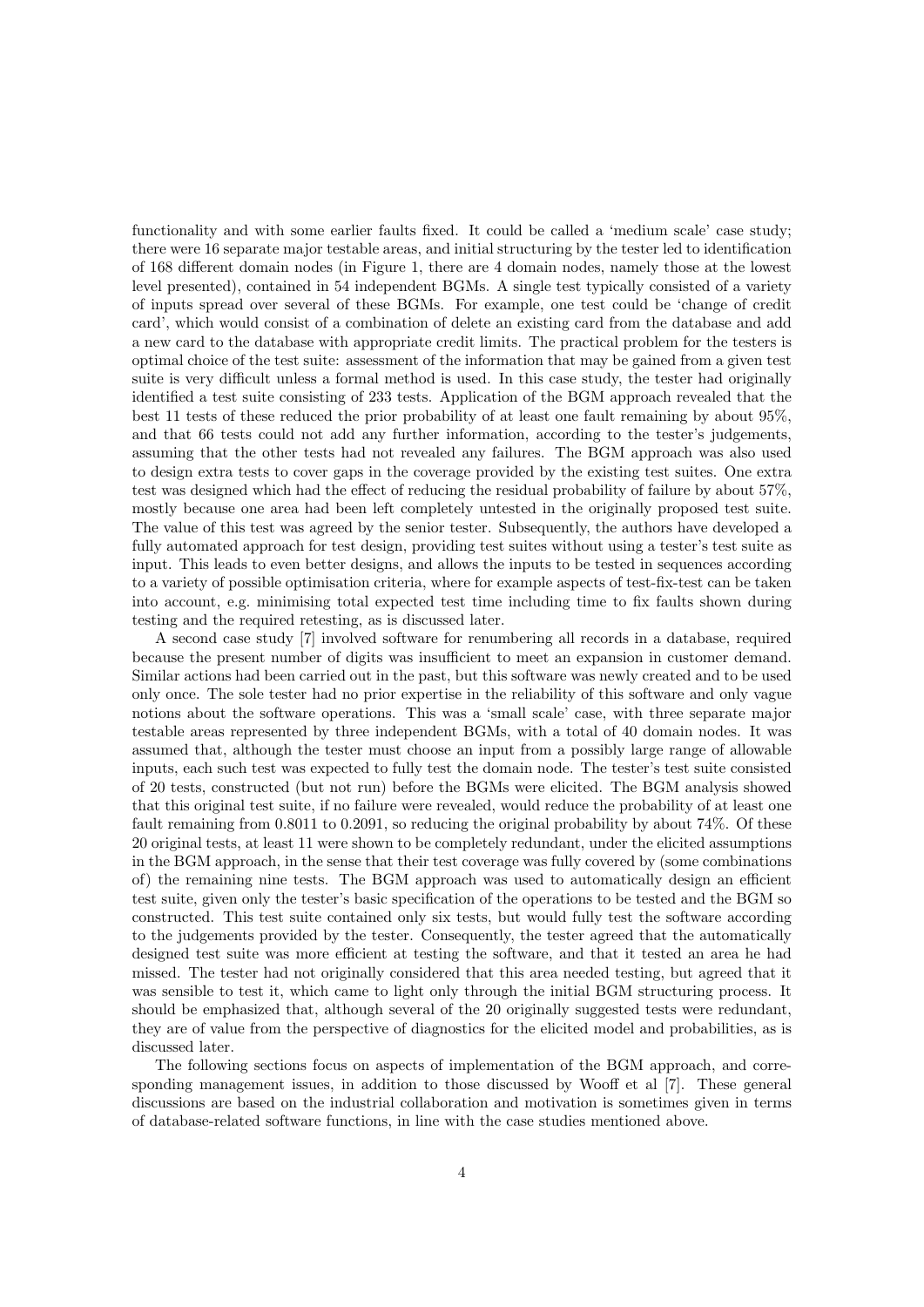functionality and with some earlier faults fixed. It could be called a 'medium scale' case study; there were 16 separate major testable areas, and initial structuring by the tester led to identification of 168 different domain nodes (in Figure 1, there are 4 domain nodes, namely those at the lowest level presented), contained in 54 independent BGMs. A single test typically consisted of a variety of inputs spread over several of these BGMs. For example, one test could be 'change of credit card', which would consist of a combination of delete an existing card from the database and add a new card to the database with appropriate credit limits. The practical problem for the testers is optimal choice of the test suite: assessment of the information that may be gained from a given test suite is very difficult unless a formal method is used. In this case study, the tester had originally identified a test suite consisting of 233 tests. Application of the BGM approach revealed that the best 11 tests of these reduced the prior probability of at least one fault remaining by about 95%, and that 66 tests could not add any further information, according to the tester's judgements, assuming that the other tests had not revealed any failures. The BGM approach was also used to design extra tests to cover gaps in the coverage provided by the existing test suites. One extra test was designed which had the effect of reducing the residual probability of failure by about 57%, mostly because one area had been left completely untested in the originally proposed test suite. The value of this test was agreed by the senior tester. Subsequently, the authors have developed a fully automated approach for test design, providing test suites without using a tester's test suite as input. This leads to even better designs, and allows the inputs to be tested in sequences according to a variety of possible optimisation criteria, where for example aspects of test-fix-test can be taken into account, e.g. minimising total expected test time including time to fix faults shown during testing and the required retesting, as is discussed later.

A second case study [7] involved software for renumbering all records in a database, required because the present number of digits was insufficient to meet an expansion in customer demand. Similar actions had been carried out in the past, but this software was newly created and to be used only once. The sole tester had no prior expertise in the reliability of this software and only vague notions about the software operations. This was a 'small scale' case, with three separate major testable areas represented by three independent BGMs, with a total of 40 domain nodes. It was assumed that, although the tester must choose an input from a possibly large range of allowable inputs, each such test was expected to fully test the domain node. The tester's test suite consisted of 20 tests, constructed (but not run) before the BGMs were elicited. The BGM analysis showed that this original test suite, if no failure were revealed, would reduce the probability of at least one fault remaining from 0.8011 to 0.2091, so reducing the original probability by about 74%. Of these 20 original tests, at least 11 were shown to be completely redundant, under the elicited assumptions in the BGM approach, in the sense that their test coverage was fully covered by (some combinations of) the remaining nine tests. The BGM approach was used to automatically design an efficient test suite, given only the tester's basic specification of the operations to be tested and the BGM so constructed. This test suite contained only six tests, but would fully test the software according to the judgements provided by the tester. Consequently, the tester agreed that the automatically designed test suite was more efficient at testing the software, and that it tested an area he had missed. The tester had not originally considered that this area needed testing, but agreed that it was sensible to test it, which came to light only through the initial BGM structuring process. It should be emphasized that, although several of the 20 originally suggested tests were redundant, they are of value from the perspective of diagnostics for the elicited model and probabilities, as is discussed later.

The following sections focus on aspects of implementation of the BGM approach, and corresponding management issues, in addition to those discussed by Wooff et al [7]. These general discussions are based on the industrial collaboration and motivation is sometimes given in terms of database-related software functions, in line with the case studies mentioned above.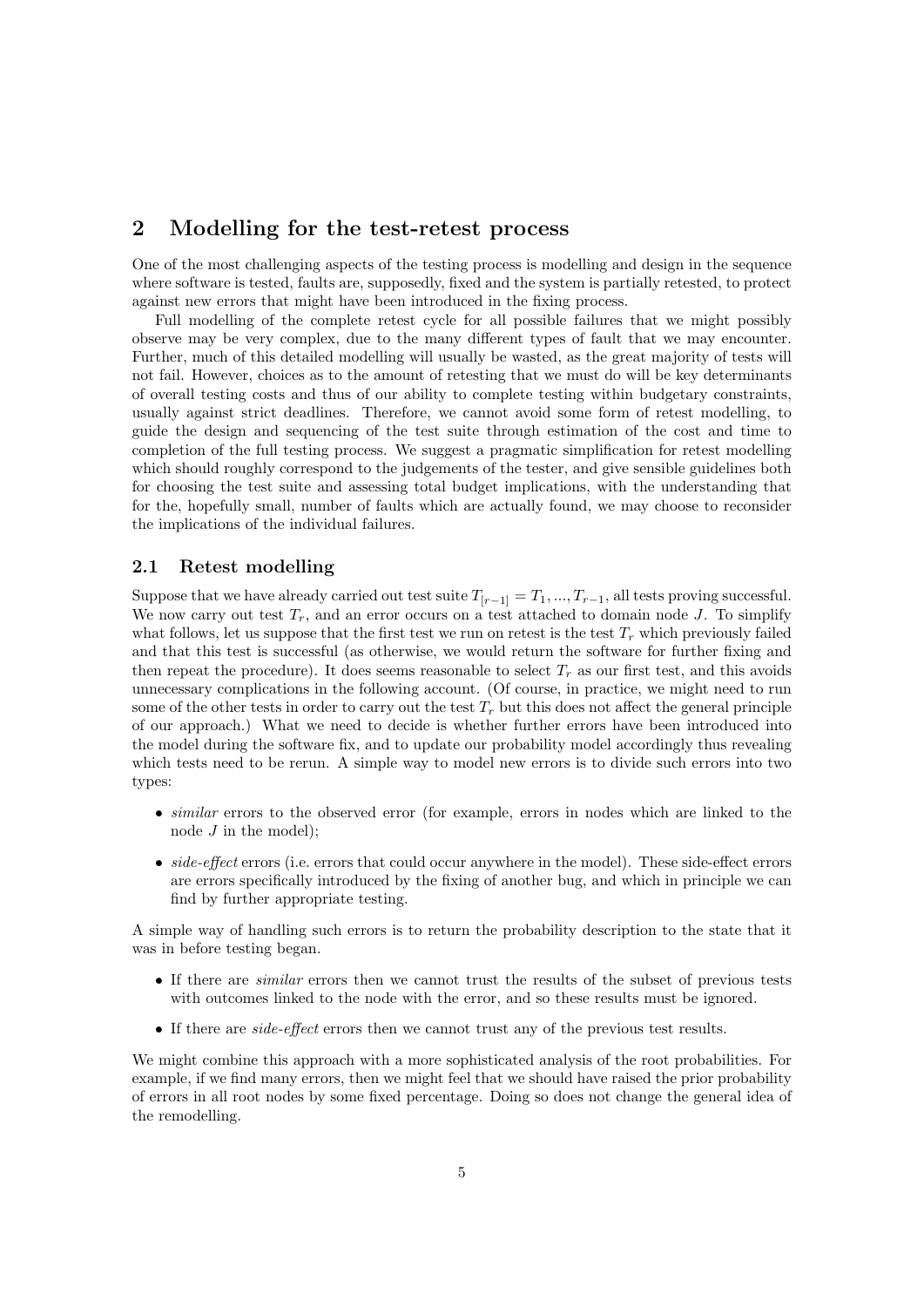# 2 Modelling for the test-retest process

One of the most challenging aspects of the testing process is modelling and design in the sequence where software is tested, faults are, supposedly, fixed and the system is partially retested, to protect against new errors that might have been introduced in the fixing process.

Full modelling of the complete retest cycle for all possible failures that we might possibly observe may be very complex, due to the many different types of fault that we may encounter. Further, much of this detailed modelling will usually be wasted, as the great majority of tests will not fail. However, choices as to the amount of retesting that we must do will be key determinants of overall testing costs and thus of our ability to complete testing within budgetary constraints, usually against strict deadlines. Therefore, we cannot avoid some form of retest modelling, to guide the design and sequencing of the test suite through estimation of the cost and time to completion of the full testing process. We suggest a pragmatic simplification for retest modelling which should roughly correspond to the judgements of the tester, and give sensible guidelines both for choosing the test suite and assessing total budget implications, with the understanding that for the, hopefully small, number of faults which are actually found, we may choose to reconsider the implications of the individual failures.

# 2.1 Retest modelling

Suppose that we have already carried out test suite  $T_{[r-1]} = T_1, ..., T_{r-1}$ , all tests proving successful. We now carry out test  $T_r$ , and an error occurs on a test attached to domain node J. To simplify what follows, let us suppose that the first test we run on retest is the test  $T_r$  which previously failed and that this test is successful (as otherwise, we would return the software for further fixing and then repeat the procedure). It does seems reasonable to select  $T_r$  as our first test, and this avoids unnecessary complications in the following account. (Of course, in practice, we might need to run some of the other tests in order to carry out the test  $T_r$  but this does not affect the general principle of our approach.) What we need to decide is whether further errors have been introduced into the model during the software fix, and to update our probability model accordingly thus revealing which tests need to be rerun. A simple way to model new errors is to divide such errors into two types:

- similar errors to the observed error (for example, errors in nodes which are linked to the node  $J$  in the model);
- *side-effect* errors (i.e. errors that could occur anywhere in the model). These side-effect errors are errors specifically introduced by the fixing of another bug, and which in principle we can find by further appropriate testing.

A simple way of handling such errors is to return the probability description to the state that it was in before testing began.

- If there are *similar* errors then we cannot trust the results of the subset of previous tests with outcomes linked to the node with the error, and so these results must be ignored.
- If there are *side-effect* errors then we cannot trust any of the previous test results.

We might combine this approach with a more sophisticated analysis of the root probabilities. For example, if we find many errors, then we might feel that we should have raised the prior probability of errors in all root nodes by some fixed percentage. Doing so does not change the general idea of the remodelling.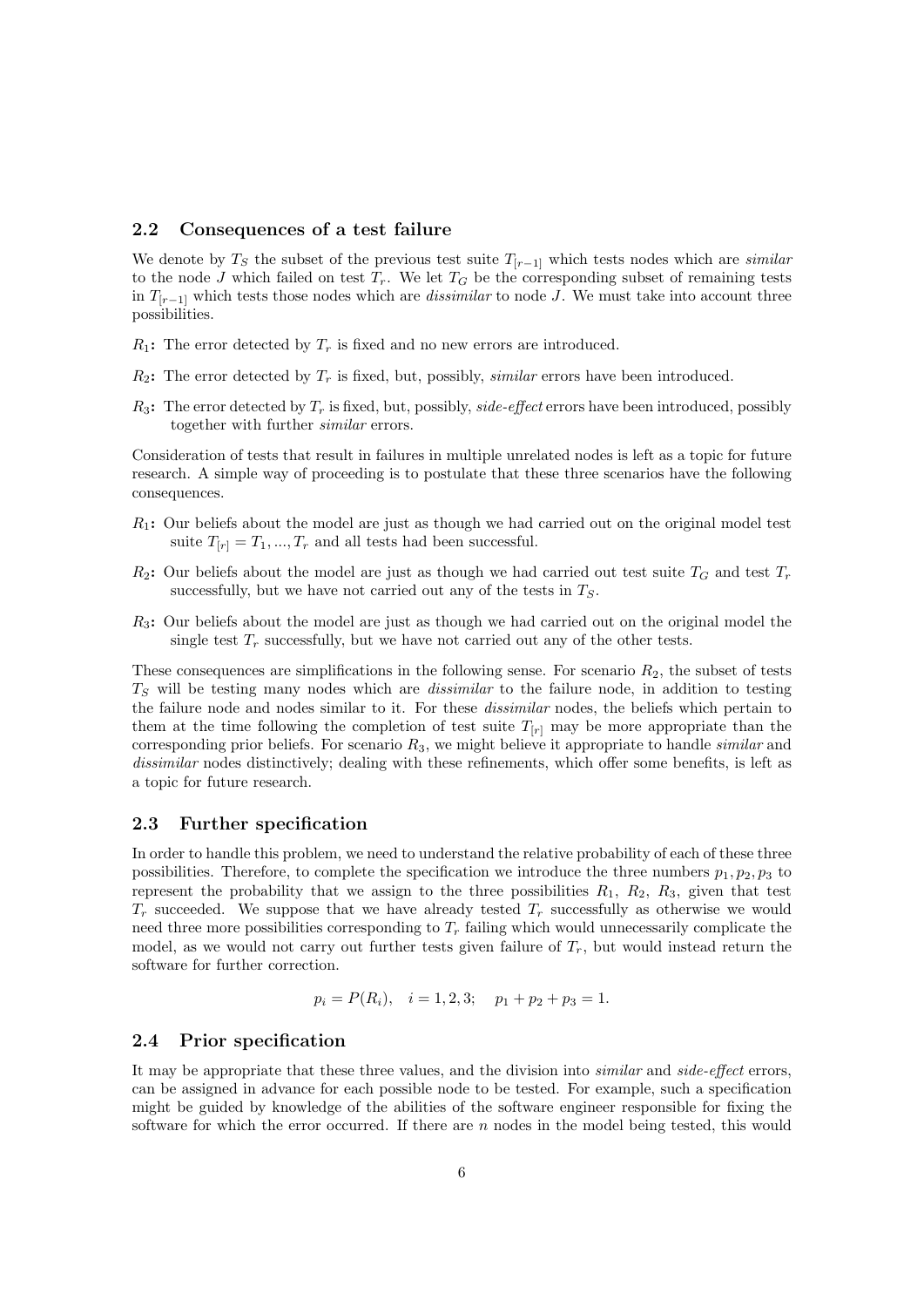#### 2.2 Consequences of a test failure

We denote by  $T<sub>S</sub>$  the subset of the previous test suite  $T<sub>[r-1]</sub>$  which tests nodes which are *similar* to the node J which failed on test  $T_r$ . We let  $T_G$  be the corresponding subset of remaining tests in  $T_{[r-1]}$  which tests those nodes which are *dissimilar* to node J. We must take into account three possibilities.

- $R_1$ : The error detected by  $T_r$  is fixed and no new errors are introduced.
- $R_2$ : The error detected by  $T_r$  is fixed, but, possibly, *similar* errors have been introduced.
- $R_3$ : The error detected by  $T_r$  is fixed, but, possibly, side-effect errors have been introduced, possibly together with further similar errors.

Consideration of tests that result in failures in multiple unrelated nodes is left as a topic for future research. A simple way of proceeding is to postulate that these three scenarios have the following consequences.

- $R_1$ : Our beliefs about the model are just as though we had carried out on the original model test suite  $T_{[r]} = T_1, ..., T_r$  and all tests had been successful.
- $R_2$ : Our beliefs about the model are just as though we had carried out test suite  $T_G$  and test  $T_r$ successfully, but we have not carried out any of the tests in  $T_S$ .
- $R_3$ : Our beliefs about the model are just as though we had carried out on the original model the single test  $T_r$  successfully, but we have not carried out any of the other tests.

These consequences are simplifications in the following sense. For scenario  $R_2$ , the subset of tests  $T<sub>S</sub>$  will be testing many nodes which are *dissimilar* to the failure node, in addition to testing the failure node and nodes similar to it. For these dissimilar nodes, the beliefs which pertain to them at the time following the completion of test suite  $T_{[r]}$  may be more appropriate than the corresponding prior beliefs. For scenario  $R_3$ , we might believe it appropriate to handle *similar* and dissimilar nodes distinctively; dealing with these refinements, which offer some benefits, is left as a topic for future research.

# 2.3 Further specification

In order to handle this problem, we need to understand the relative probability of each of these three possibilities. Therefore, to complete the specification we introduce the three numbers  $p_1, p_2, p_3$  to represent the probability that we assign to the three possibilities  $R_1$ ,  $R_2$ ,  $R_3$ , given that test  $T_r$  succeeded. We suppose that we have already tested  $T_r$  successfully as otherwise we would need three more possibilities corresponding to  $T_r$  failing which would unnecessarily complicate the model, as we would not carry out further tests given failure of  $T_r$ , but would instead return the software for further correction.

$$
p_i = P(R_i), \quad i = 1, 2, 3; \quad p_1 + p_2 + p_3 = 1.
$$

# 2.4 Prior specification

It may be appropriate that these three values, and the division into *similar* and *side-effect* errors, can be assigned in advance for each possible node to be tested. For example, such a specification might be guided by knowledge of the abilities of the software engineer responsible for fixing the software for which the error occurred. If there are  $n$  nodes in the model being tested, this would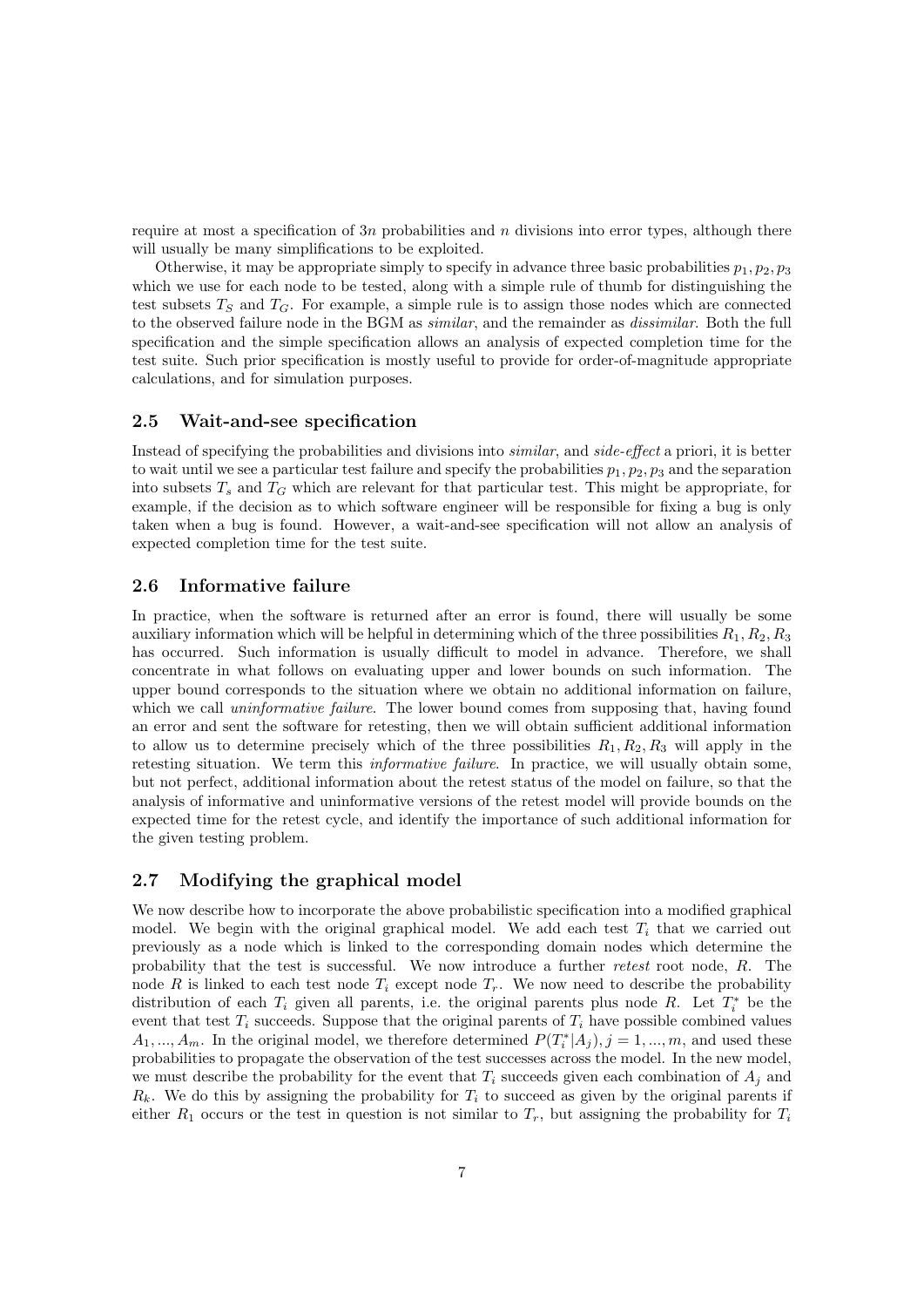require at most a specification of  $3n$  probabilities and n divisions into error types, although there will usually be many simplifications to be exploited.

Otherwise, it may be appropriate simply to specify in advance three basic probabilities  $p_1, p_2, p_3$ which we use for each node to be tested, along with a simple rule of thumb for distinguishing the test subsets  $T_S$  and  $T_G$ . For example, a simple rule is to assign those nodes which are connected to the observed failure node in the BGM as *similar*, and the remainder as *dissimilar*. Both the full specification and the simple specification allows an analysis of expected completion time for the test suite. Such prior specification is mostly useful to provide for order-of-magnitude appropriate calculations, and for simulation purposes.

### 2.5 Wait-and-see specification

Instead of specifying the probabilities and divisions into similar, and side-effect a priori, it is better to wait until we see a particular test failure and specify the probabilities  $p_1, p_2, p_3$  and the separation into subsets  $T_s$  and  $T_G$  which are relevant for that particular test. This might be appropriate, for example, if the decision as to which software engineer will be responsible for fixing a bug is only taken when a bug is found. However, a wait-and-see specification will not allow an analysis of expected completion time for the test suite.

# 2.6 Informative failure

In practice, when the software is returned after an error is found, there will usually be some auxiliary information which will be helpful in determining which of the three possibilities  $R_1, R_2, R_3$ has occurred. Such information is usually difficult to model in advance. Therefore, we shall concentrate in what follows on evaluating upper and lower bounds on such information. The upper bound corresponds to the situation where we obtain no additional information on failure, which we call *uninformative failure*. The lower bound comes from supposing that, having found an error and sent the software for retesting, then we will obtain sufficient additional information to allow us to determine precisely which of the three possibilities  $R_1, R_2, R_3$  will apply in the retesting situation. We term this *informative failure*. In practice, we will usually obtain some, but not perfect, additional information about the retest status of the model on failure, so that the analysis of informative and uninformative versions of the retest model will provide bounds on the expected time for the retest cycle, and identify the importance of such additional information for the given testing problem.

# 2.7 Modifying the graphical model

We now describe how to incorporate the above probabilistic specification into a modified graphical model. We begin with the original graphical model. We add each test  $T_i$  that we carried out previously as a node which is linked to the corresponding domain nodes which determine the probability that the test is successful. We now introduce a further retest root node, R. The node R is linked to each test node  $T_i$  except node  $T_r$ . We now need to describe the probability distribution of each  $T_i$  given all parents, i.e. the original parents plus node R. Let  $T_i^*$  be the event that test  $T_i$  succeeds. Suppose that the original parents of  $T_i$  have possible combined values  $A_1, ..., A_m$ . In the original model, we therefore determined  $P(T_i^*|A_j), j = 1, ..., m$ , and used these probabilities to propagate the observation of the test successes across the model. In the new model, we must describe the probability for the event that  $T_i$  succeeds given each combination of  $A_j$  and  $R_k$ . We do this by assigning the probability for  $T_i$  to succeed as given by the original parents if either  $R_1$  occurs or the test in question is not similar to  $T_r$ , but assigning the probability for  $T_i$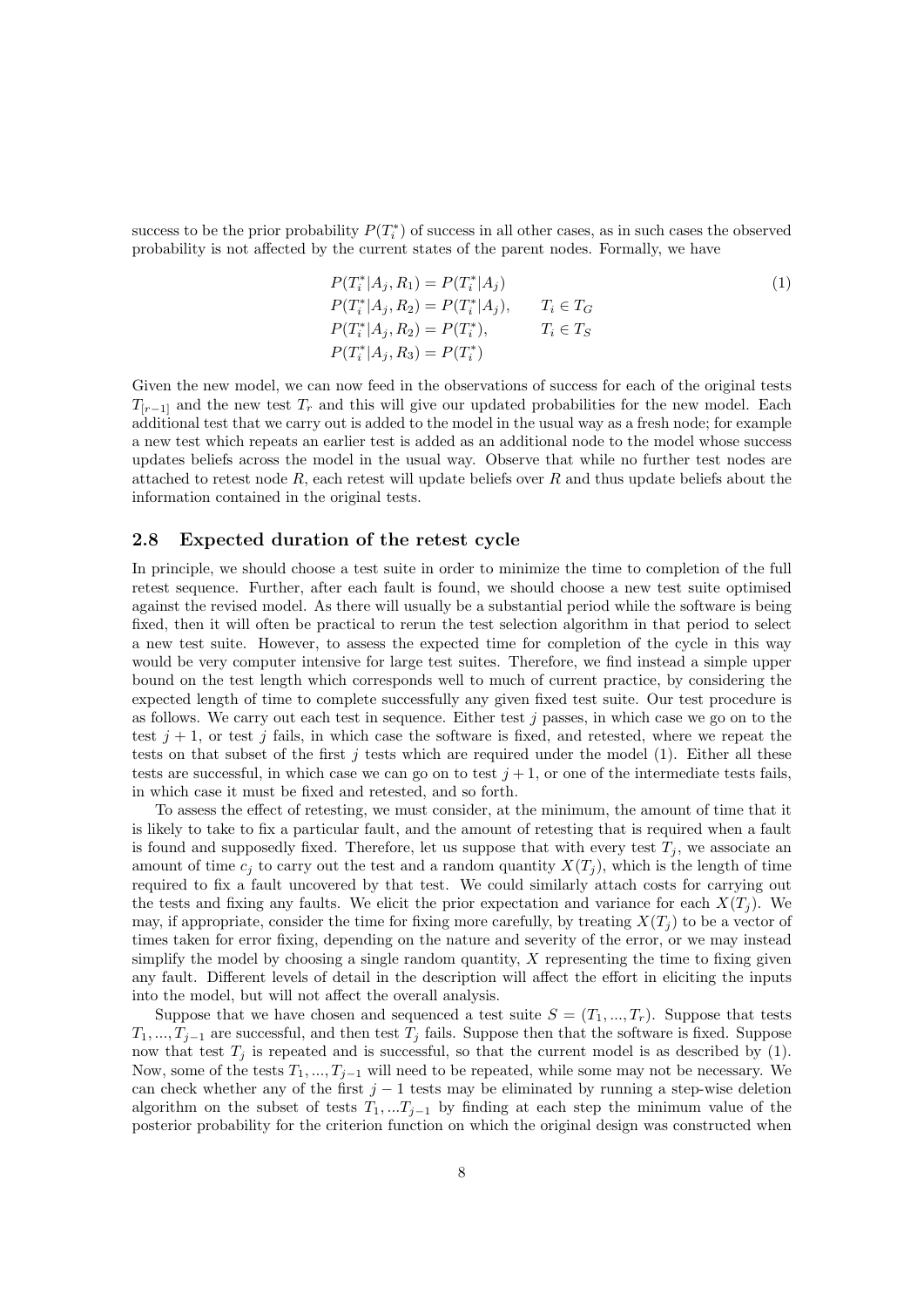success to be the prior probability  $P(T_i^*)$  of success in all other cases, as in such cases the observed probability is not affected by the current states of the parent nodes. Formally, we have

$$
P(T_i^*|A_j, R_1) = P(T_i^*|A_j)
$$
  
\n
$$
P(T_i^*|A_j, R_2) = P(T_i^*|A_j), \qquad T_i \in T_G
$$
  
\n
$$
P(T_i^*|A_j, R_2) = P(T_i^*), \qquad T_i \in T_S
$$
  
\n
$$
P(T_i^*|A_j, R_3) = P(T_i^*)
$$
\n(1)

Given the new model, we can now feed in the observations of success for each of the original tests  $T_{[r-1]}$  and the new test  $T_r$  and this will give our updated probabilities for the new model. Each additional test that we carry out is added to the model in the usual way as a fresh node; for example a new test which repeats an earlier test is added as an additional node to the model whose success updates beliefs across the model in the usual way. Observe that while no further test nodes are attached to retest node  $R$ , each retest will update beliefs over  $R$  and thus update beliefs about the information contained in the original tests.

# 2.8 Expected duration of the retest cycle

In principle, we should choose a test suite in order to minimize the time to completion of the full retest sequence. Further, after each fault is found, we should choose a new test suite optimised against the revised model. As there will usually be a substantial period while the software is being fixed, then it will often be practical to rerun the test selection algorithm in that period to select a new test suite. However, to assess the expected time for completion of the cycle in this way would be very computer intensive for large test suites. Therefore, we find instead a simple upper bound on the test length which corresponds well to much of current practice, by considering the expected length of time to complete successfully any given fixed test suite. Our test procedure is as follows. We carry out each test in sequence. Either test  $j$  passes, in which case we go on to the test  $j + 1$ , or test j fails, in which case the software is fixed, and retested, where we repeat the tests on that subset of the first j tests which are required under the model  $(1)$ . Either all these tests are successful, in which case we can go on to test  $j + 1$ , or one of the intermediate tests fails, in which case it must be fixed and retested, and so forth.

To assess the effect of retesting, we must consider, at the minimum, the amount of time that it is likely to take to fix a particular fault, and the amount of retesting that is required when a fault is found and supposedly fixed. Therefore, let us suppose that with every test  $T_i$ , we associate an amount of time  $c_j$  to carry out the test and a random quantity  $X(T_j)$ , which is the length of time required to fix a fault uncovered by that test. We could similarly attach costs for carrying out the tests and fixing any faults. We elicit the prior expectation and variance for each  $X(T_i)$ . We may, if appropriate, consider the time for fixing more carefully, by treating  $X(T_i)$  to be a vector of times taken for error fixing, depending on the nature and severity of the error, or we may instead simplify the model by choosing a single random quantity, X representing the time to fixing given any fault. Different levels of detail in the description will affect the effort in eliciting the inputs into the model, but will not affect the overall analysis.

Suppose that we have chosen and sequenced a test suite  $S = (T_1, ..., T_r)$ . Suppose that tests  $T_1, ..., T_{j-1}$  are successful, and then test  $T_j$  fails. Suppose then that the software is fixed. Suppose now that test  $T_j$  is repeated and is successful, so that the current model is as described by (1). Now, some of the tests  $T_1, ..., T_{i-1}$  will need to be repeated, while some may not be necessary. We can check whether any of the first  $j - 1$  tests may be eliminated by running a step-wise deletion algorithm on the subset of tests  $T_1, \ldots, T_{j-1}$  by finding at each step the minimum value of the posterior probability for the criterion function on which the original design was constructed when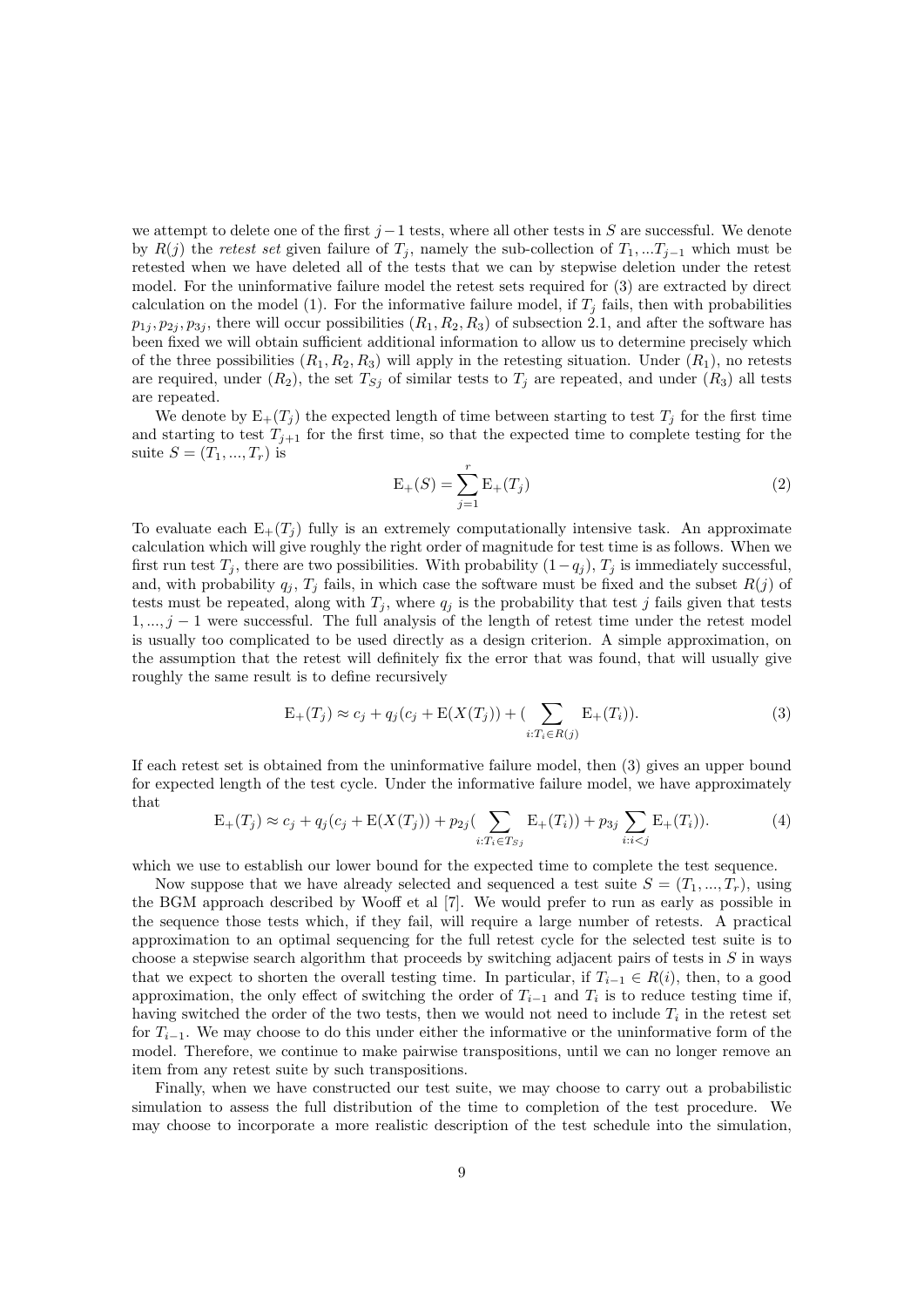we attempt to delete one of the first  $j-1$  tests, where all other tests in S are successful. We denote by  $R(j)$  the retest set given failure of  $T_j$ , namely the sub-collection of  $T_1, ... T_{j-1}$  which must be retested when we have deleted all of the tests that we can by stepwise deletion under the retest model. For the uninformative failure model the retest sets required for (3) are extracted by direct calculation on the model (1). For the informative failure model, if  $T_j$  fails, then with probabilities  $p_{1j}, p_{2j}, p_{3j}$ , there will occur possibilities  $(R_1, R_2, R_3)$  of subsection 2.1, and after the software has been fixed we will obtain sufficient additional information to allow us to determine precisely which of the three possibilities  $(R_1, R_2, R_3)$  will apply in the retesting situation. Under  $(R_1)$ , no retests are required, under  $(R_2)$ , the set  $T_{Sj}$  of similar tests to  $T_j$  are repeated, and under  $(R_3)$  all tests are repeated.

We denote by  $E_{+}(T_i)$  the expected length of time between starting to test  $T_i$  for the first time and starting to test  $T_{i+1}$  for the first time, so that the expected time to complete testing for the suite  $S = (T_1, ..., T_r)$  is

$$
E_{+}(S) = \sum_{j=1}^{r} E_{+}(T_{j})
$$
\n(2)

To evaluate each  $E_{+}(T_i)$  fully is an extremely computationally intensive task. An approximate calculation which will give roughly the right order of magnitude for test time is as follows. When we first run test  $T_i$ , there are two possibilities. With probability  $(1-q_i)$ ,  $T_j$  is immediately successful, and, with probability  $q_j$ ,  $T_j$  fails, in which case the software must be fixed and the subset  $R(j)$  of tests must be repeated, along with  $T_i$ , where  $q_i$  is the probability that test j fails given that tests  $1, \ldots, j-1$  were successful. The full analysis of the length of retest time under the retest model is usually too complicated to be used directly as a design criterion. A simple approximation, on the assumption that the retest will definitely fix the error that was found, that will usually give roughly the same result is to define recursively

$$
E_{+}(T_j) \approx c_j + q_j(c_j + E(X(T_j)) + (\sum_{i:T_i \in R(j)} E_{+}(T_i)).
$$
\n(3)

If each retest set is obtained from the uninformative failure model, then (3) gives an upper bound for expected length of the test cycle. Under the informative failure model, we have approximately that

$$
E_{+}(T_{j}) \approx c_{j} + q_{j}(c_{j} + E(X(T_{j})) + p_{2j}(\sum_{i:T_{i} \in T_{Sj}} E_{+}(T_{i})) + p_{3j} \sum_{i:i < j} E_{+}(T_{i})).\tag{4}
$$

which we use to establish our lower bound for the expected time to complete the test sequence.

Now suppose that we have already selected and sequenced a test suite  $S = (T_1, ..., T_r)$ , using the BGM approach described by Wooff et al [7]. We would prefer to run as early as possible in the sequence those tests which, if they fail, will require a large number of retests. A practical approximation to an optimal sequencing for the full retest cycle for the selected test suite is to choose a stepwise search algorithm that proceeds by switching adjacent pairs of tests in  $S$  in ways that we expect to shorten the overall testing time. In particular, if  $T_{i-1} \in R(i)$ , then, to a good approximation, the only effect of switching the order of  $T_{i-1}$  and  $T_i$  is to reduce testing time if, having switched the order of the two tests, then we would not need to include  $T_i$  in the retest set for  $T_{i-1}$ . We may choose to do this under either the informative or the uninformative form of the model. Therefore, we continue to make pairwise transpositions, until we can no longer remove an item from any retest suite by such transpositions.

Finally, when we have constructed our test suite, we may choose to carry out a probabilistic simulation to assess the full distribution of the time to completion of the test procedure. We may choose to incorporate a more realistic description of the test schedule into the simulation,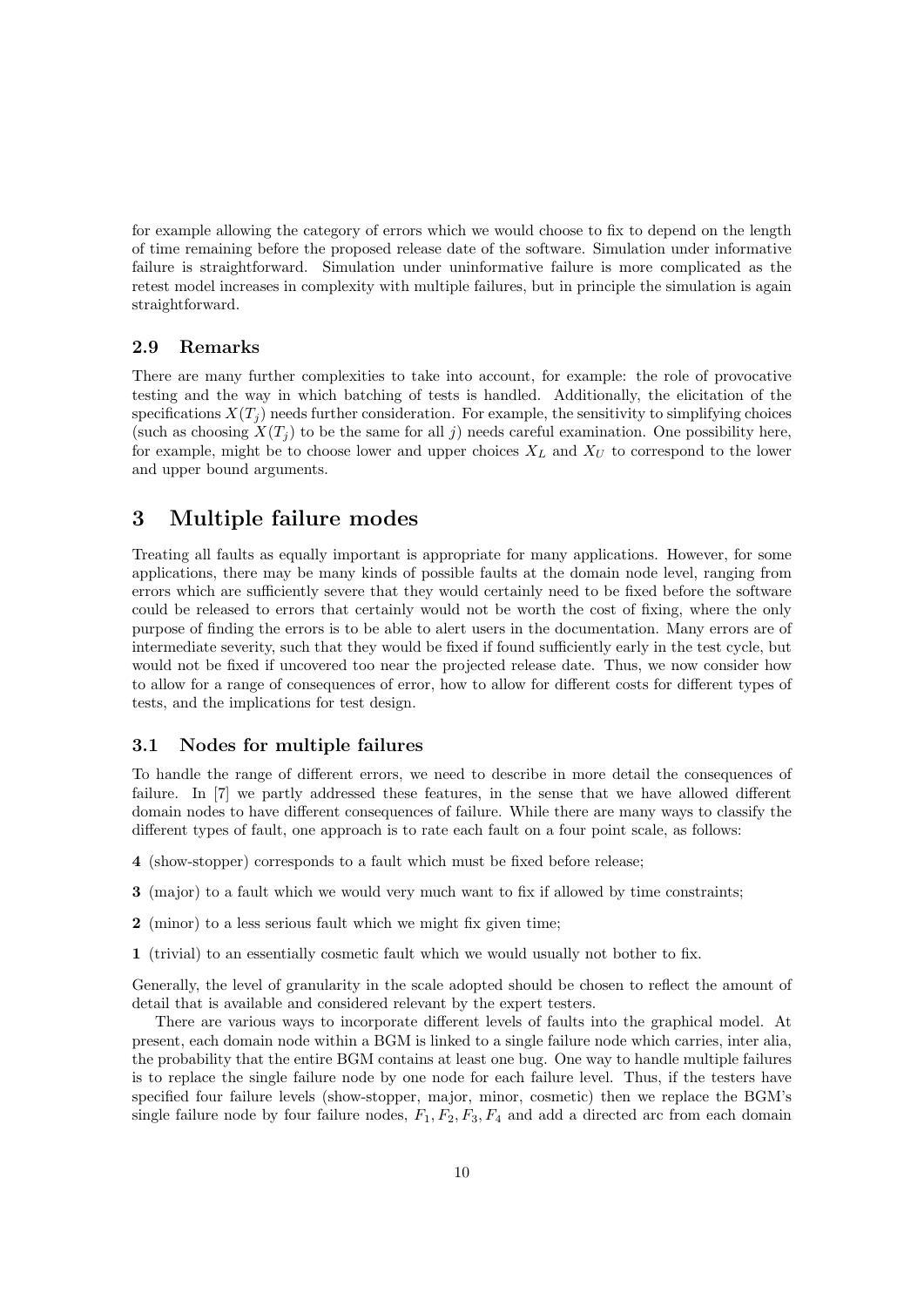for example allowing the category of errors which we would choose to fix to depend on the length of time remaining before the proposed release date of the software. Simulation under informative failure is straightforward. Simulation under uninformative failure is more complicated as the retest model increases in complexity with multiple failures, but in principle the simulation is again straightforward.

# 2.9 Remarks

There are many further complexities to take into account, for example: the role of provocative testing and the way in which batching of tests is handled. Additionally, the elicitation of the specifications  $X(T_i)$  needs further consideration. For example, the sensitivity to simplifying choices (such as choosing  $X(T_j)$  to be the same for all j) needs careful examination. One possibility here, for example, might be to choose lower and upper choices  $X_L$  and  $X_U$  to correspond to the lower and upper bound arguments.

# 3 Multiple failure modes

Treating all faults as equally important is appropriate for many applications. However, for some applications, there may be many kinds of possible faults at the domain node level, ranging from errors which are sufficiently severe that they would certainly need to be fixed before the software could be released to errors that certainly would not be worth the cost of fixing, where the only purpose of finding the errors is to be able to alert users in the documentation. Many errors are of intermediate severity, such that they would be fixed if found sufficiently early in the test cycle, but would not be fixed if uncovered too near the projected release date. Thus, we now consider how to allow for a range of consequences of error, how to allow for different costs for different types of tests, and the implications for test design.

# 3.1 Nodes for multiple failures

To handle the range of different errors, we need to describe in more detail the consequences of failure. In [7] we partly addressed these features, in the sense that we have allowed different domain nodes to have different consequences of failure. While there are many ways to classify the different types of fault, one approach is to rate each fault on a four point scale, as follows:

- 4 (show-stopper) corresponds to a fault which must be fixed before release;
- 3 (major) to a fault which we would very much want to fix if allowed by time constraints;
- 2 (minor) to a less serious fault which we might fix given time;
- 1 (trivial) to an essentially cosmetic fault which we would usually not bother to fix.

Generally, the level of granularity in the scale adopted should be chosen to reflect the amount of detail that is available and considered relevant by the expert testers.

There are various ways to incorporate different levels of faults into the graphical model. At present, each domain node within a BGM is linked to a single failure node which carries, inter alia, the probability that the entire BGM contains at least one bug. One way to handle multiple failures is to replace the single failure node by one node for each failure level. Thus, if the testers have specified four failure levels (show-stopper, major, minor, cosmetic) then we replace the BGM's single failure node by four failure nodes,  $F_1, F_2, F_3, F_4$  and add a directed arc from each domain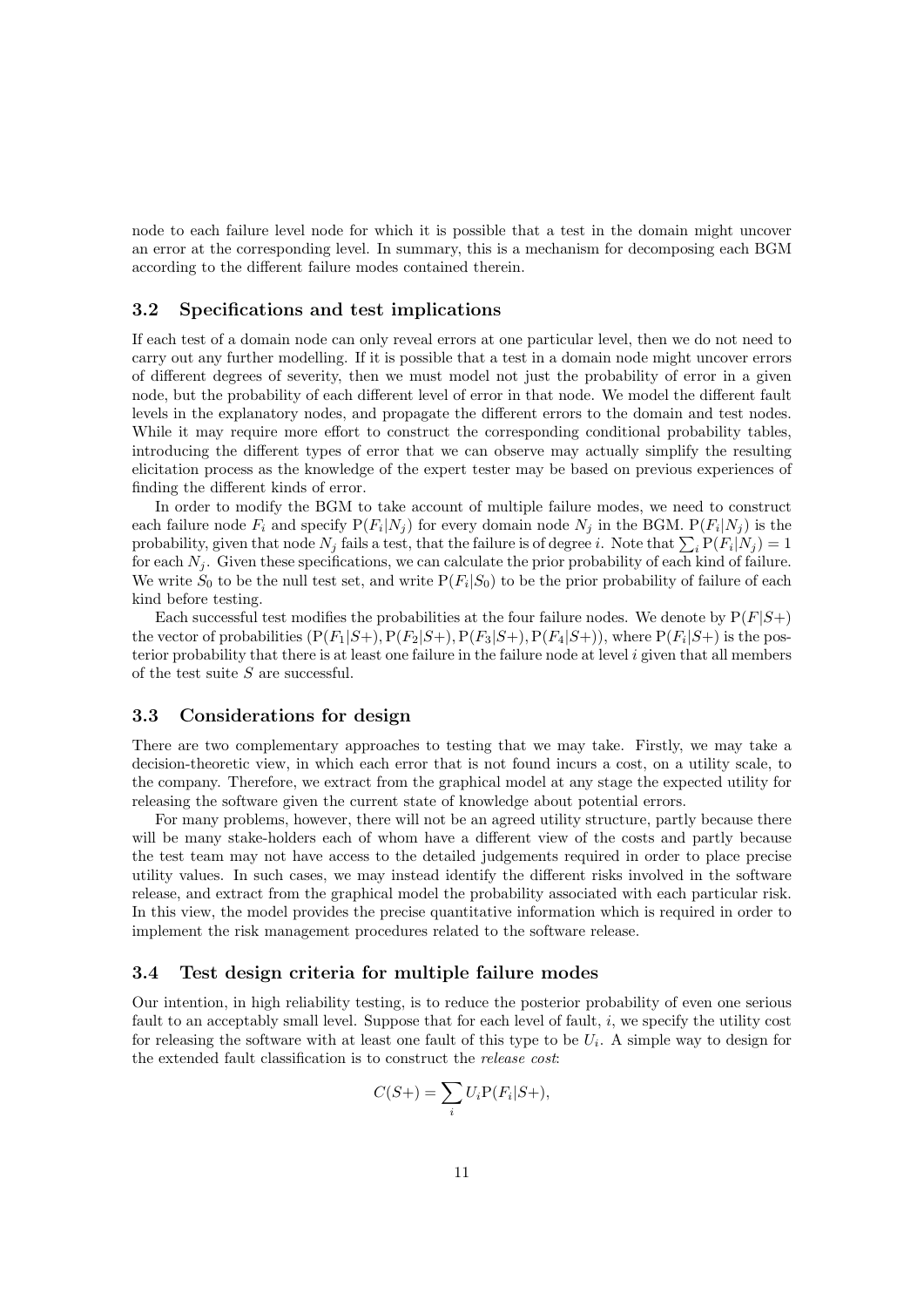node to each failure level node for which it is possible that a test in the domain might uncover an error at the corresponding level. In summary, this is a mechanism for decomposing each BGM according to the different failure modes contained therein.

# 3.2 Specifications and test implications

If each test of a domain node can only reveal errors at one particular level, then we do not need to carry out any further modelling. If it is possible that a test in a domain node might uncover errors of different degrees of severity, then we must model not just the probability of error in a given node, but the probability of each different level of error in that node. We model the different fault levels in the explanatory nodes, and propagate the different errors to the domain and test nodes. While it may require more effort to construct the corresponding conditional probability tables, introducing the different types of error that we can observe may actually simplify the resulting elicitation process as the knowledge of the expert tester may be based on previous experiences of finding the different kinds of error.

In order to modify the BGM to take account of multiple failure modes, we need to construct each failure node  $F_i$  and specify  $P(F_i|N_j)$  for every domain node  $N_j$  in the BGM.  $P(F_i|N_j)$  is the probability, given that node  $N_j$  fails a test, that the failure is of degree i. Note that  $\sum_i P(F_i|N_j) = 1$ for each  $N_j$ . Given these specifications, we can calculate the prior probability of each kind of failure. We write  $S_0$  to be the null test set, and write  $P(F_i|S_0)$  to be the prior probability of failure of each kind before testing.

Each successful test modifies the probabilities at the four failure nodes. We denote by  $P(F|S+)$ the vector of probabilities  $(P(F_1|S_+), P(F_2|S_+), P(F_3|S_+), P(F_4|S_+))$ , where  $P(F_i|S_+)$  is the posterior probability that there is at least one failure in the failure node at level  $i$  given that all members of the test suite  $S$  are successful.

# 3.3 Considerations for design

There are two complementary approaches to testing that we may take. Firstly, we may take a decision-theoretic view, in which each error that is not found incurs a cost, on a utility scale, to the company. Therefore, we extract from the graphical model at any stage the expected utility for releasing the software given the current state of knowledge about potential errors.

For many problems, however, there will not be an agreed utility structure, partly because there will be many stake-holders each of whom have a different view of the costs and partly because the test team may not have access to the detailed judgements required in order to place precise utility values. In such cases, we may instead identify the different risks involved in the software release, and extract from the graphical model the probability associated with each particular risk. In this view, the model provides the precise quantitative information which is required in order to implement the risk management procedures related to the software release.

# 3.4 Test design criteria for multiple failure modes

Our intention, in high reliability testing, is to reduce the posterior probability of even one serious fault to an acceptably small level. Suppose that for each level of fault, i, we specify the utility cost for releasing the software with at least one fault of this type to be  $U_i$ . A simple way to design for the extended fault classification is to construct the release cost:

$$
C(S+) = \sum_{i} U_i \mathcal{P}(F_i|S+),
$$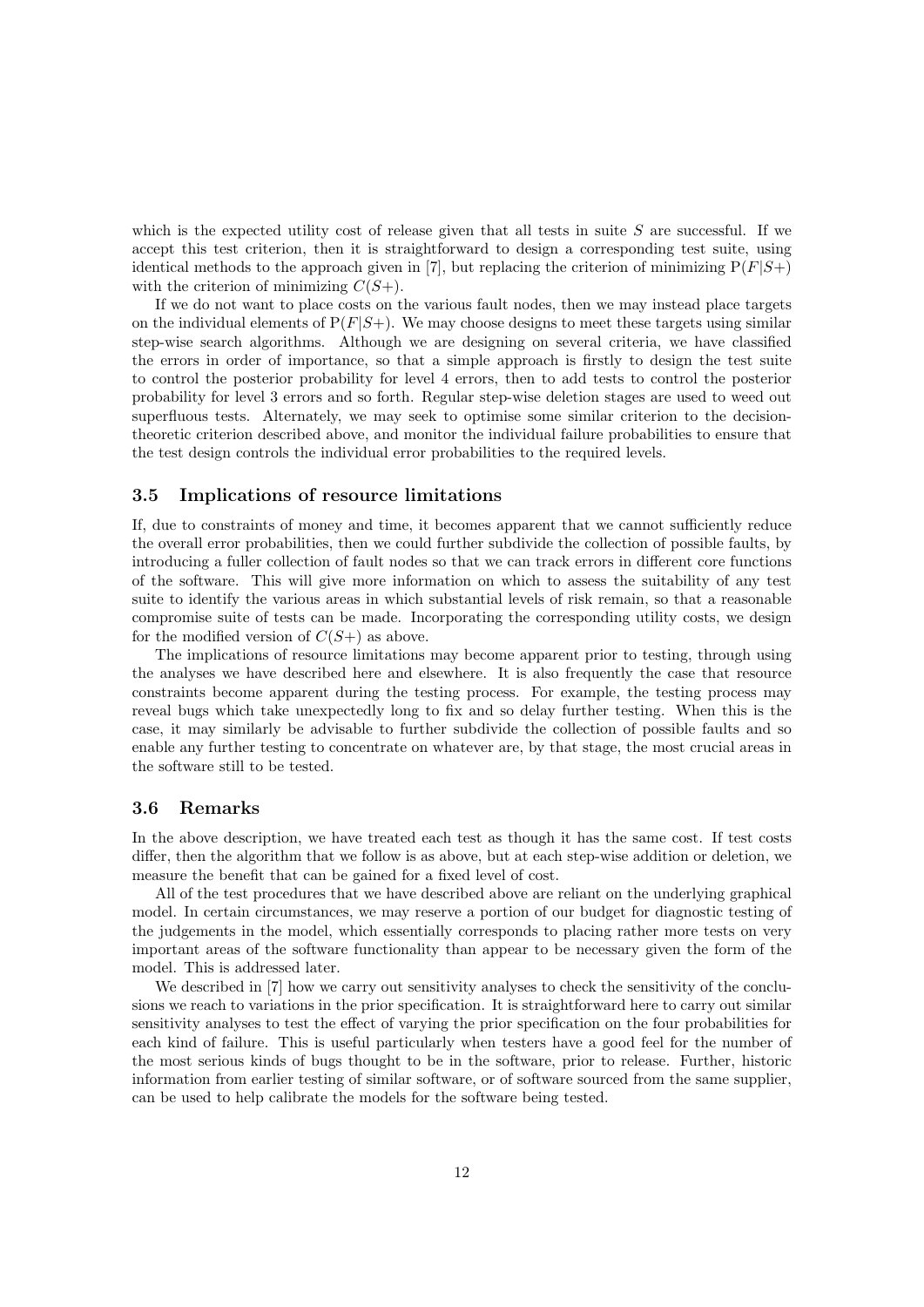which is the expected utility cost of release given that all tests in suite  $S$  are successful. If we accept this test criterion, then it is straightforward to design a corresponding test suite, using identical methods to the approach given in [7], but replacing the criterion of minimizing  $P(F|S+)$ with the criterion of minimizing  $C(S+)$ .

If we do not want to place costs on the various fault nodes, then we may instead place targets on the individual elements of  $P(F|S+)$ . We may choose designs to meet these targets using similar step-wise search algorithms. Although we are designing on several criteria, we have classified the errors in order of importance, so that a simple approach is firstly to design the test suite to control the posterior probability for level 4 errors, then to add tests to control the posterior probability for level 3 errors and so forth. Regular step-wise deletion stages are used to weed out superfluous tests. Alternately, we may seek to optimise some similar criterion to the decisiontheoretic criterion described above, and monitor the individual failure probabilities to ensure that the test design controls the individual error probabilities to the required levels.

#### 3.5 Implications of resource limitations

If, due to constraints of money and time, it becomes apparent that we cannot sufficiently reduce the overall error probabilities, then we could further subdivide the collection of possible faults, by introducing a fuller collection of fault nodes so that we can track errors in different core functions of the software. This will give more information on which to assess the suitability of any test suite to identify the various areas in which substantial levels of risk remain, so that a reasonable compromise suite of tests can be made. Incorporating the corresponding utility costs, we design for the modified version of  $C(S+)$  as above.

The implications of resource limitations may become apparent prior to testing, through using the analyses we have described here and elsewhere. It is also frequently the case that resource constraints become apparent during the testing process. For example, the testing process may reveal bugs which take unexpectedly long to fix and so delay further testing. When this is the case, it may similarly be advisable to further subdivide the collection of possible faults and so enable any further testing to concentrate on whatever are, by that stage, the most crucial areas in the software still to be tested.

# 3.6 Remarks

In the above description, we have treated each test as though it has the same cost. If test costs differ, then the algorithm that we follow is as above, but at each step-wise addition or deletion, we measure the benefit that can be gained for a fixed level of cost.

All of the test procedures that we have described above are reliant on the underlying graphical model. In certain circumstances, we may reserve a portion of our budget for diagnostic testing of the judgements in the model, which essentially corresponds to placing rather more tests on very important areas of the software functionality than appear to be necessary given the form of the model. This is addressed later.

We described in [7] how we carry out sensitivity analyses to check the sensitivity of the conclusions we reach to variations in the prior specification. It is straightforward here to carry out similar sensitivity analyses to test the effect of varying the prior specification on the four probabilities for each kind of failure. This is useful particularly when testers have a good feel for the number of the most serious kinds of bugs thought to be in the software, prior to release. Further, historic information from earlier testing of similar software, or of software sourced from the same supplier, can be used to help calibrate the models for the software being tested.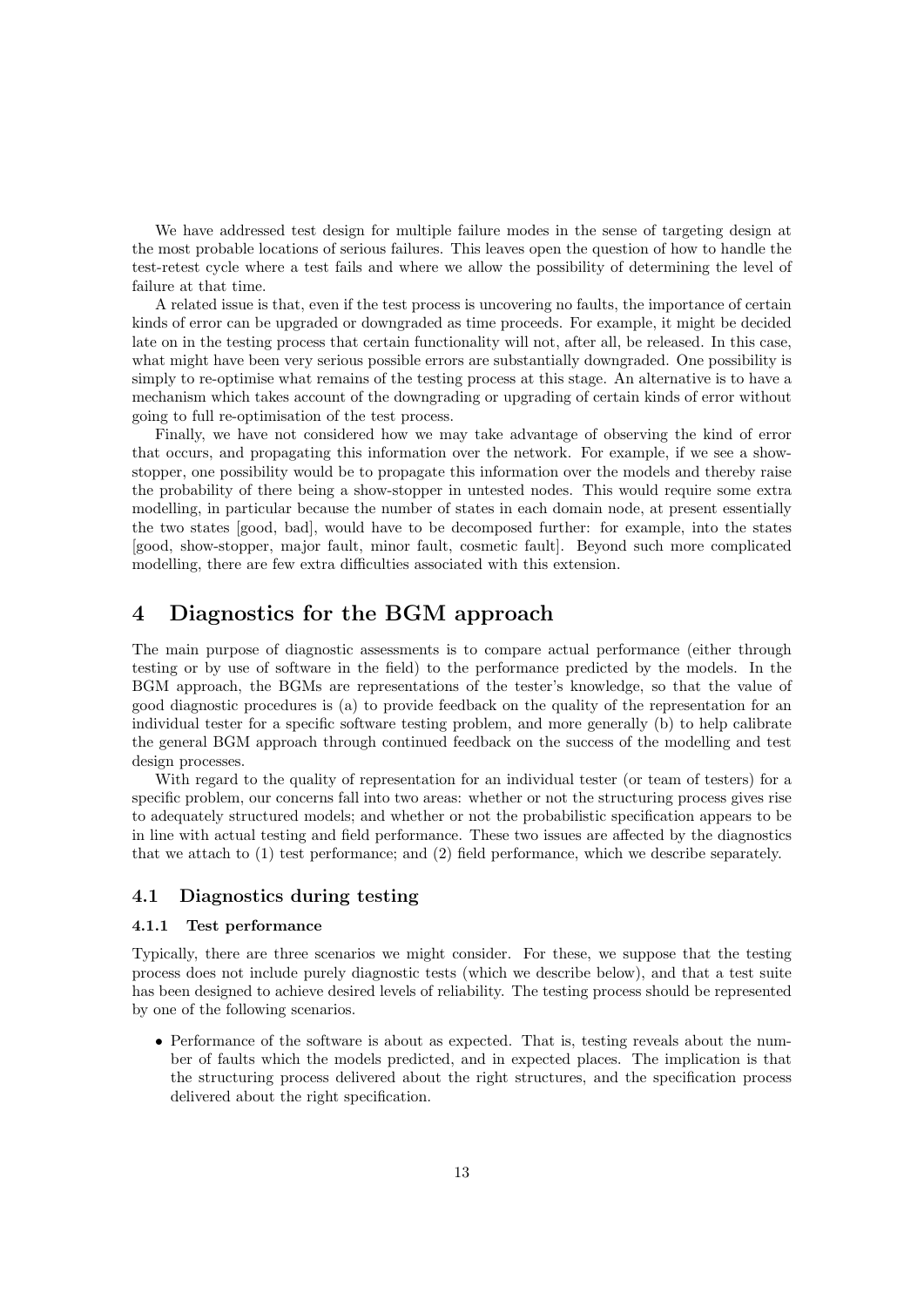We have addressed test design for multiple failure modes in the sense of targeting design at the most probable locations of serious failures. This leaves open the question of how to handle the test-retest cycle where a test fails and where we allow the possibility of determining the level of failure at that time.

A related issue is that, even if the test process is uncovering no faults, the importance of certain kinds of error can be upgraded or downgraded as time proceeds. For example, it might be decided late on in the testing process that certain functionality will not, after all, be released. In this case, what might have been very serious possible errors are substantially downgraded. One possibility is simply to re-optimise what remains of the testing process at this stage. An alternative is to have a mechanism which takes account of the downgrading or upgrading of certain kinds of error without going to full re-optimisation of the test process.

Finally, we have not considered how we may take advantage of observing the kind of error that occurs, and propagating this information over the network. For example, if we see a showstopper, one possibility would be to propagate this information over the models and thereby raise the probability of there being a show-stopper in untested nodes. This would require some extra modelling, in particular because the number of states in each domain node, at present essentially the two states [good, bad], would have to be decomposed further: for example, into the states [good, show-stopper, major fault, minor fault, cosmetic fault]. Beyond such more complicated modelling, there are few extra difficulties associated with this extension.

# 4 Diagnostics for the BGM approach

The main purpose of diagnostic assessments is to compare actual performance (either through testing or by use of software in the field) to the performance predicted by the models. In the BGM approach, the BGMs are representations of the tester's knowledge, so that the value of good diagnostic procedures is (a) to provide feedback on the quality of the representation for an individual tester for a specific software testing problem, and more generally (b) to help calibrate the general BGM approach through continued feedback on the success of the modelling and test design processes.

With regard to the quality of representation for an individual tester (or team of testers) for a specific problem, our concerns fall into two areas: whether or not the structuring process gives rise to adequately structured models; and whether or not the probabilistic specification appears to be in line with actual testing and field performance. These two issues are affected by the diagnostics that we attach to (1) test performance; and (2) field performance, which we describe separately.

# 4.1 Diagnostics during testing

# 4.1.1 Test performance

Typically, there are three scenarios we might consider. For these, we suppose that the testing process does not include purely diagnostic tests (which we describe below), and that a test suite has been designed to achieve desired levels of reliability. The testing process should be represented by one of the following scenarios.

• Performance of the software is about as expected. That is, testing reveals about the number of faults which the models predicted, and in expected places. The implication is that the structuring process delivered about the right structures, and the specification process delivered about the right specification.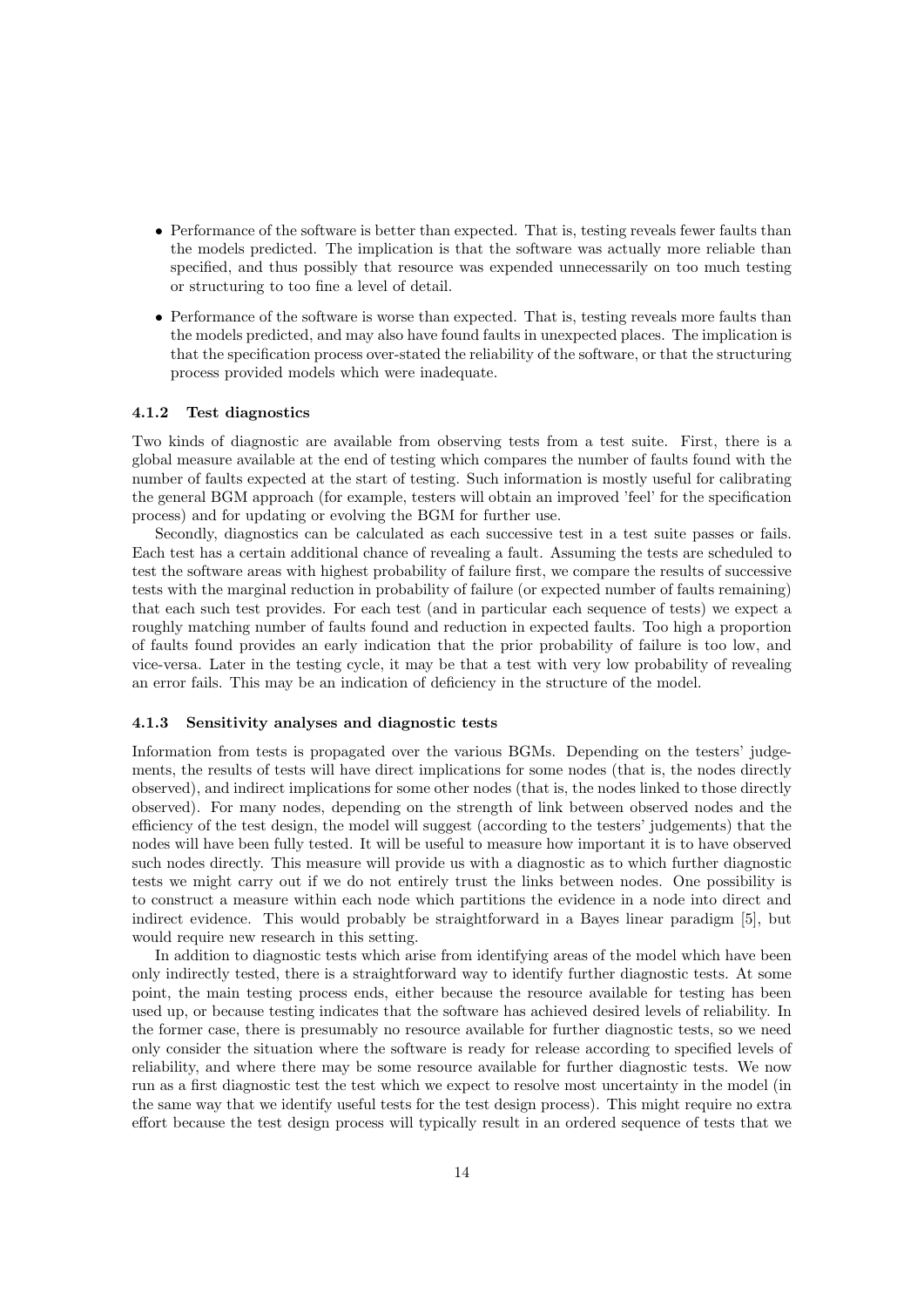- Performance of the software is better than expected. That is, testing reveals fewer faults than the models predicted. The implication is that the software was actually more reliable than specified, and thus possibly that resource was expended unnecessarily on too much testing or structuring to too fine a level of detail.
- Performance of the software is worse than expected. That is, testing reveals more faults than the models predicted, and may also have found faults in unexpected places. The implication is that the specification process over-stated the reliability of the software, or that the structuring process provided models which were inadequate.

#### 4.1.2 Test diagnostics

Two kinds of diagnostic are available from observing tests from a test suite. First, there is a global measure available at the end of testing which compares the number of faults found with the number of faults expected at the start of testing. Such information is mostly useful for calibrating the general BGM approach (for example, testers will obtain an improved 'feel' for the specification process) and for updating or evolving the BGM for further use.

Secondly, diagnostics can be calculated as each successive test in a test suite passes or fails. Each test has a certain additional chance of revealing a fault. Assuming the tests are scheduled to test the software areas with highest probability of failure first, we compare the results of successive tests with the marginal reduction in probability of failure (or expected number of faults remaining) that each such test provides. For each test (and in particular each sequence of tests) we expect a roughly matching number of faults found and reduction in expected faults. Too high a proportion of faults found provides an early indication that the prior probability of failure is too low, and vice-versa. Later in the testing cycle, it may be that a test with very low probability of revealing an error fails. This may be an indication of deficiency in the structure of the model.

#### 4.1.3 Sensitivity analyses and diagnostic tests

Information from tests is propagated over the various BGMs. Depending on the testers' judgements, the results of tests will have direct implications for some nodes (that is, the nodes directly observed), and indirect implications for some other nodes (that is, the nodes linked to those directly observed). For many nodes, depending on the strength of link between observed nodes and the efficiency of the test design, the model will suggest (according to the testers' judgements) that the nodes will have been fully tested. It will be useful to measure how important it is to have observed such nodes directly. This measure will provide us with a diagnostic as to which further diagnostic tests we might carry out if we do not entirely trust the links between nodes. One possibility is to construct a measure within each node which partitions the evidence in a node into direct and indirect evidence. This would probably be straightforward in a Bayes linear paradigm [5], but would require new research in this setting.

In addition to diagnostic tests which arise from identifying areas of the model which have been only indirectly tested, there is a straightforward way to identify further diagnostic tests. At some point, the main testing process ends, either because the resource available for testing has been used up, or because testing indicates that the software has achieved desired levels of reliability. In the former case, there is presumably no resource available for further diagnostic tests, so we need only consider the situation where the software is ready for release according to specified levels of reliability, and where there may be some resource available for further diagnostic tests. We now run as a first diagnostic test the test which we expect to resolve most uncertainty in the model (in the same way that we identify useful tests for the test design process). This might require no extra effort because the test design process will typically result in an ordered sequence of tests that we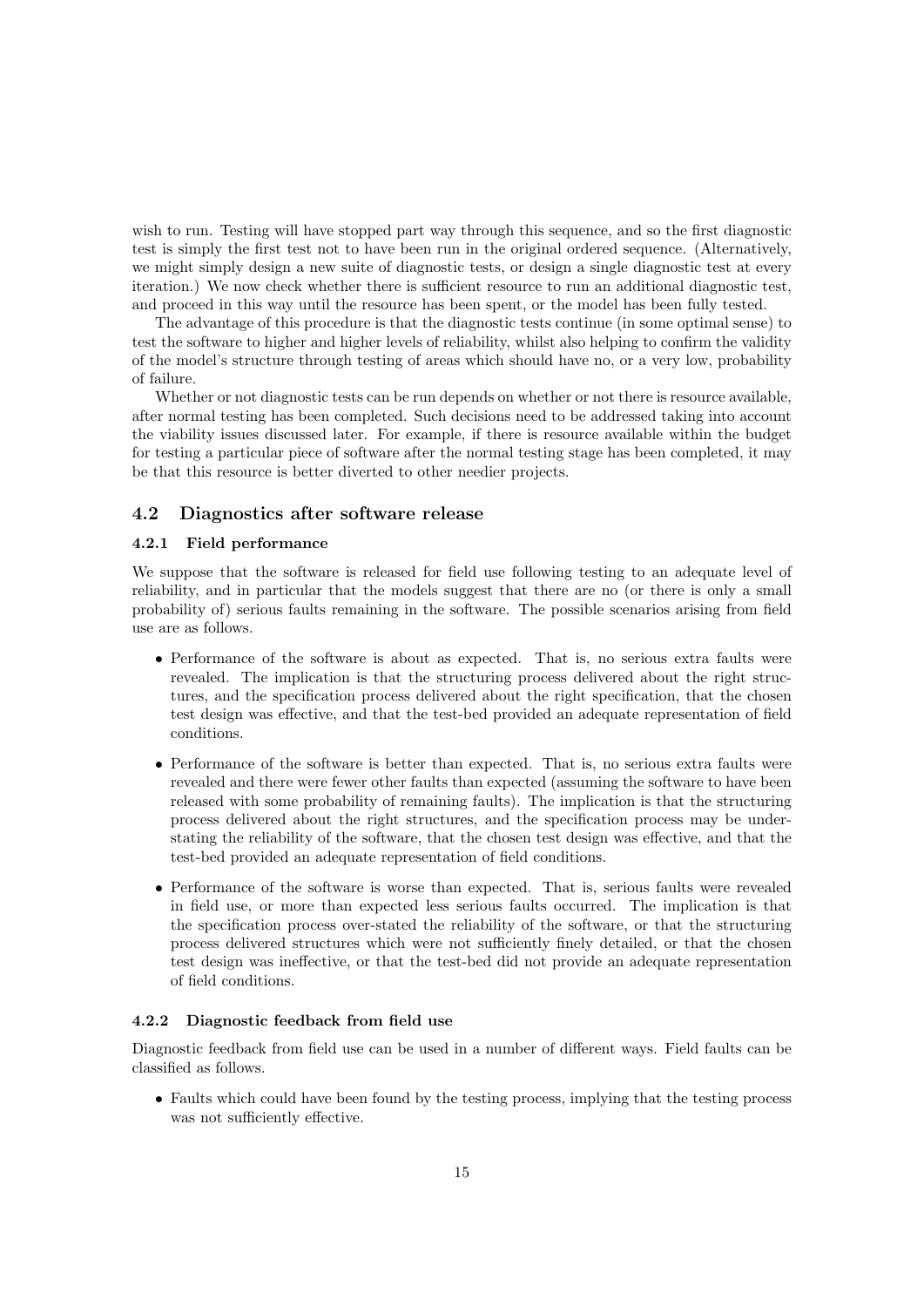wish to run. Testing will have stopped part way through this sequence, and so the first diagnostic test is simply the first test not to have been run in the original ordered sequence. (Alternatively, we might simply design a new suite of diagnostic tests, or design a single diagnostic test at every iteration.) We now check whether there is sufficient resource to run an additional diagnostic test, and proceed in this way until the resource has been spent, or the model has been fully tested.

The advantage of this procedure is that the diagnostic tests continue (in some optimal sense) to test the software to higher and higher levels of reliability, whilst also helping to confirm the validity of the model's structure through testing of areas which should have no, or a very low, probability of failure.

Whether or not diagnostic tests can be run depends on whether or not there is resource available, after normal testing has been completed. Such decisions need to be addressed taking into account the viability issues discussed later. For example, if there is resource available within the budget for testing a particular piece of software after the normal testing stage has been completed, it may be that this resource is better diverted to other needier projects.

# 4.2 Diagnostics after software release

#### 4.2.1 Field performance

We suppose that the software is released for field use following testing to an adequate level of reliability, and in particular that the models suggest that there are no (or there is only a small probability of) serious faults remaining in the software. The possible scenarios arising from field use are as follows.

- Performance of the software is about as expected. That is, no serious extra faults were revealed. The implication is that the structuring process delivered about the right structures, and the specification process delivered about the right specification, that the chosen test design was effective, and that the test-bed provided an adequate representation of field conditions.
- Performance of the software is better than expected. That is, no serious extra faults were revealed and there were fewer other faults than expected (assuming the software to have been released with some probability of remaining faults). The implication is that the structuring process delivered about the right structures, and the specification process may be understating the reliability of the software, that the chosen test design was effective, and that the test-bed provided an adequate representation of field conditions.
- Performance of the software is worse than expected. That is, serious faults were revealed in field use, or more than expected less serious faults occurred. The implication is that the specification process over-stated the reliability of the software, or that the structuring process delivered structures which were not sufficiently finely detailed, or that the chosen test design was ineffective, or that the test-bed did not provide an adequate representation of field conditions.

### 4.2.2 Diagnostic feedback from field use

Diagnostic feedback from field use can be used in a number of different ways. Field faults can be classified as follows.

• Faults which could have been found by the testing process, implying that the testing process was not sufficiently effective.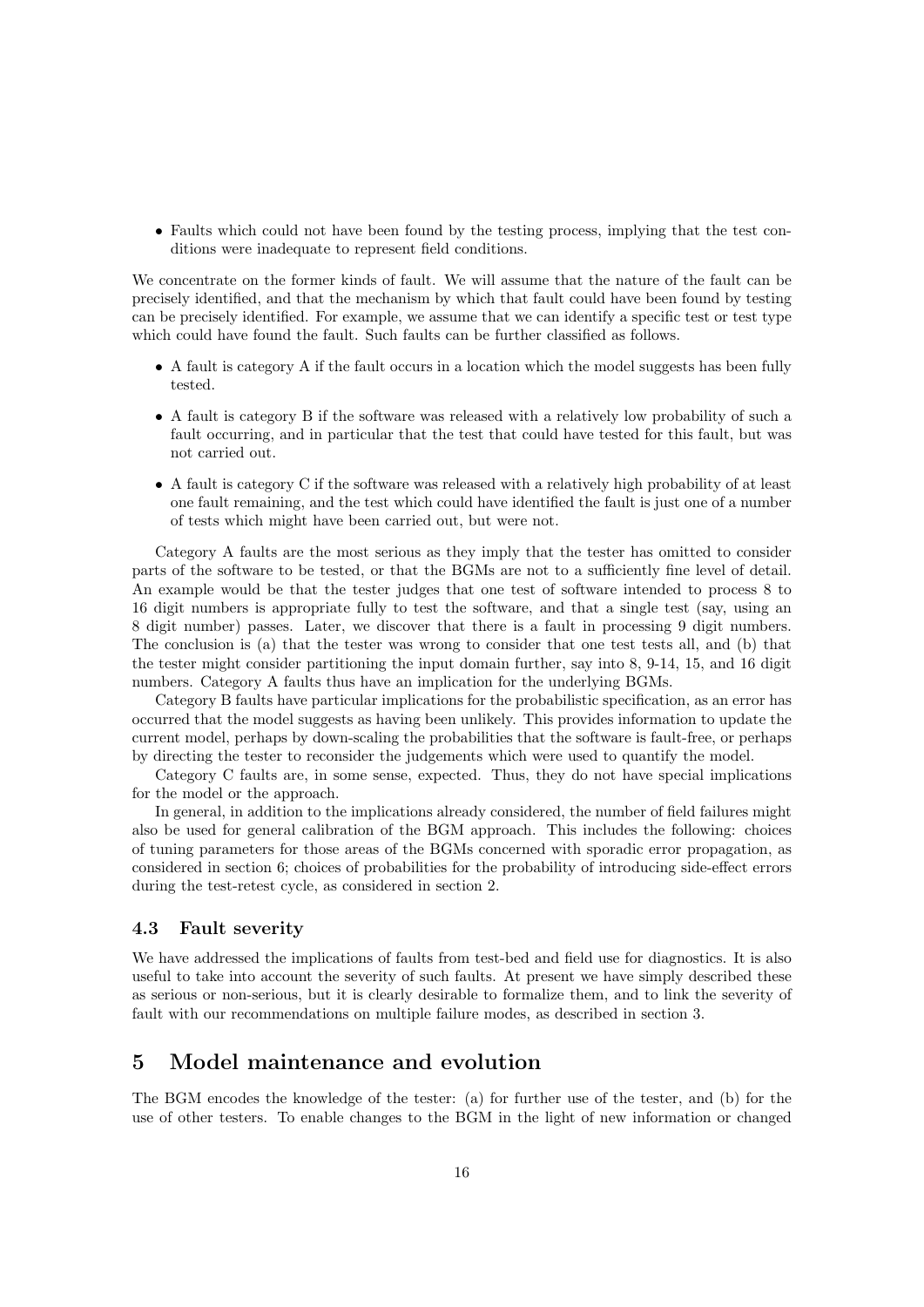• Faults which could not have been found by the testing process, implying that the test conditions were inadequate to represent field conditions.

We concentrate on the former kinds of fault. We will assume that the nature of the fault can be precisely identified, and that the mechanism by which that fault could have been found by testing can be precisely identified. For example, we assume that we can identify a specific test or test type which could have found the fault. Such faults can be further classified as follows.

- A fault is category A if the fault occurs in a location which the model suggests has been fully tested.
- A fault is category B if the software was released with a relatively low probability of such a fault occurring, and in particular that the test that could have tested for this fault, but was not carried out.
- A fault is category C if the software was released with a relatively high probability of at least one fault remaining, and the test which could have identified the fault is just one of a number of tests which might have been carried out, but were not.

Category A faults are the most serious as they imply that the tester has omitted to consider parts of the software to be tested, or that the BGMs are not to a sufficiently fine level of detail. An example would be that the tester judges that one test of software intended to process 8 to 16 digit numbers is appropriate fully to test the software, and that a single test (say, using an 8 digit number) passes. Later, we discover that there is a fault in processing 9 digit numbers. The conclusion is (a) that the tester was wrong to consider that one test tests all, and (b) that the tester might consider partitioning the input domain further, say into 8, 9-14, 15, and 16 digit numbers. Category A faults thus have an implication for the underlying BGMs.

Category B faults have particular implications for the probabilistic specification, as an error has occurred that the model suggests as having been unlikely. This provides information to update the current model, perhaps by down-scaling the probabilities that the software is fault-free, or perhaps by directing the tester to reconsider the judgements which were used to quantify the model.

Category C faults are, in some sense, expected. Thus, they do not have special implications for the model or the approach.

In general, in addition to the implications already considered, the number of field failures might also be used for general calibration of the BGM approach. This includes the following: choices of tuning parameters for those areas of the BGMs concerned with sporadic error propagation, as considered in section 6; choices of probabilities for the probability of introducing side-effect errors during the test-retest cycle, as considered in section 2.

### 4.3 Fault severity

We have addressed the implications of faults from test-bed and field use for diagnostics. It is also useful to take into account the severity of such faults. At present we have simply described these as serious or non-serious, but it is clearly desirable to formalize them, and to link the severity of fault with our recommendations on multiple failure modes, as described in section 3.

# 5 Model maintenance and evolution

The BGM encodes the knowledge of the tester: (a) for further use of the tester, and (b) for the use of other testers. To enable changes to the BGM in the light of new information or changed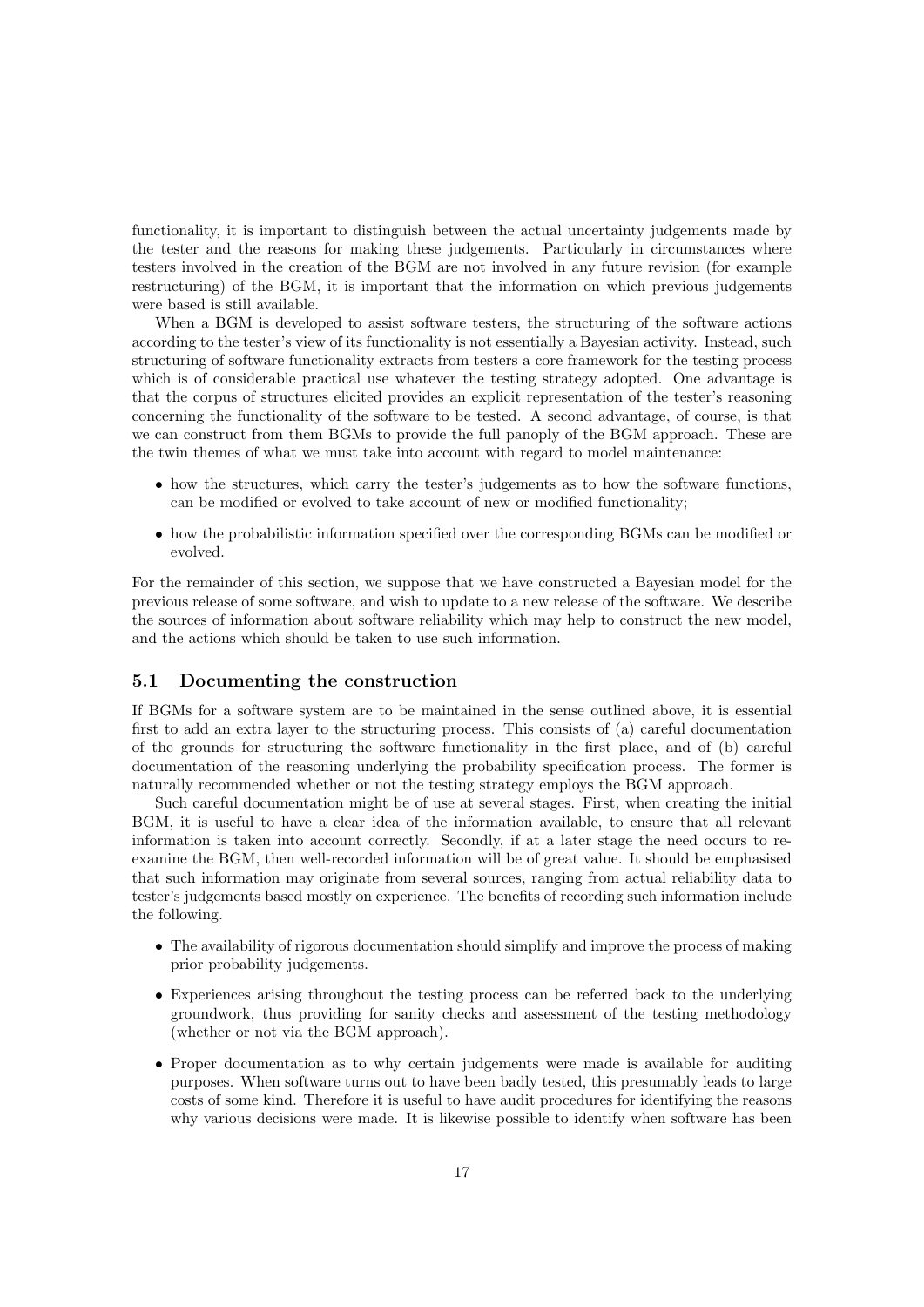functionality, it is important to distinguish between the actual uncertainty judgements made by the tester and the reasons for making these judgements. Particularly in circumstances where testers involved in the creation of the BGM are not involved in any future revision (for example restructuring) of the BGM, it is important that the information on which previous judgements were based is still available.

When a BGM is developed to assist software testers, the structuring of the software actions according to the tester's view of its functionality is not essentially a Bayesian activity. Instead, such structuring of software functionality extracts from testers a core framework for the testing process which is of considerable practical use whatever the testing strategy adopted. One advantage is that the corpus of structures elicited provides an explicit representation of the tester's reasoning concerning the functionality of the software to be tested. A second advantage, of course, is that we can construct from them BGMs to provide the full panoply of the BGM approach. These are the twin themes of what we must take into account with regard to model maintenance:

- how the structures, which carry the tester's judgements as to how the software functions, can be modified or evolved to take account of new or modified functionality;
- how the probabilistic information specified over the corresponding BGMs can be modified or evolved.

For the remainder of this section, we suppose that we have constructed a Bayesian model for the previous release of some software, and wish to update to a new release of the software. We describe the sources of information about software reliability which may help to construct the new model, and the actions which should be taken to use such information.

# 5.1 Documenting the construction

If BGMs for a software system are to be maintained in the sense outlined above, it is essential first to add an extra layer to the structuring process. This consists of (a) careful documentation of the grounds for structuring the software functionality in the first place, and of (b) careful documentation of the reasoning underlying the probability specification process. The former is naturally recommended whether or not the testing strategy employs the BGM approach.

Such careful documentation might be of use at several stages. First, when creating the initial BGM, it is useful to have a clear idea of the information available, to ensure that all relevant information is taken into account correctly. Secondly, if at a later stage the need occurs to reexamine the BGM, then well-recorded information will be of great value. It should be emphasised that such information may originate from several sources, ranging from actual reliability data to tester's judgements based mostly on experience. The benefits of recording such information include the following.

- The availability of rigorous documentation should simplify and improve the process of making prior probability judgements.
- Experiences arising throughout the testing process can be referred back to the underlying groundwork, thus providing for sanity checks and assessment of the testing methodology (whether or not via the BGM approach).
- Proper documentation as to why certain judgements were made is available for auditing purposes. When software turns out to have been badly tested, this presumably leads to large costs of some kind. Therefore it is useful to have audit procedures for identifying the reasons why various decisions were made. It is likewise possible to identify when software has been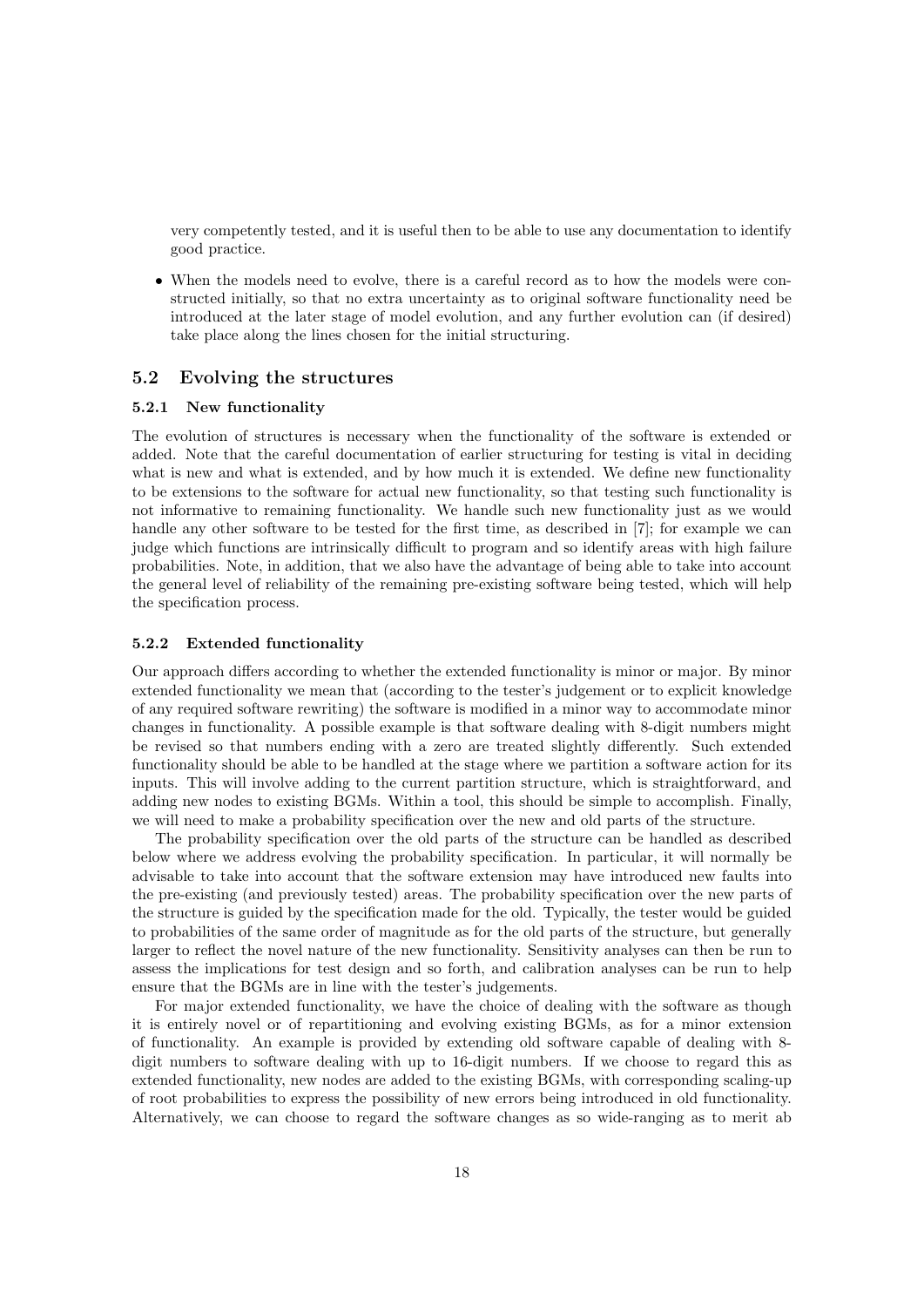very competently tested, and it is useful then to be able to use any documentation to identify good practice.

• When the models need to evolve, there is a careful record as to how the models were constructed initially, so that no extra uncertainty as to original software functionality need be introduced at the later stage of model evolution, and any further evolution can (if desired) take place along the lines chosen for the initial structuring.

# 5.2 Evolving the structures

#### 5.2.1 New functionality

The evolution of structures is necessary when the functionality of the software is extended or added. Note that the careful documentation of earlier structuring for testing is vital in deciding what is new and what is extended, and by how much it is extended. We define new functionality to be extensions to the software for actual new functionality, so that testing such functionality is not informative to remaining functionality. We handle such new functionality just as we would handle any other software to be tested for the first time, as described in [7]; for example we can judge which functions are intrinsically difficult to program and so identify areas with high failure probabilities. Note, in addition, that we also have the advantage of being able to take into account the general level of reliability of the remaining pre-existing software being tested, which will help the specification process.

#### 5.2.2 Extended functionality

Our approach differs according to whether the extended functionality is minor or major. By minor extended functionality we mean that (according to the tester's judgement or to explicit knowledge of any required software rewriting) the software is modified in a minor way to accommodate minor changes in functionality. A possible example is that software dealing with 8-digit numbers might be revised so that numbers ending with a zero are treated slightly differently. Such extended functionality should be able to be handled at the stage where we partition a software action for its inputs. This will involve adding to the current partition structure, which is straightforward, and adding new nodes to existing BGMs. Within a tool, this should be simple to accomplish. Finally, we will need to make a probability specification over the new and old parts of the structure.

The probability specification over the old parts of the structure can be handled as described below where we address evolving the probability specification. In particular, it will normally be advisable to take into account that the software extension may have introduced new faults into the pre-existing (and previously tested) areas. The probability specification over the new parts of the structure is guided by the specification made for the old. Typically, the tester would be guided to probabilities of the same order of magnitude as for the old parts of the structure, but generally larger to reflect the novel nature of the new functionality. Sensitivity analyses can then be run to assess the implications for test design and so forth, and calibration analyses can be run to help ensure that the BGMs are in line with the tester's judgements.

For major extended functionality, we have the choice of dealing with the software as though it is entirely novel or of repartitioning and evolving existing BGMs, as for a minor extension of functionality. An example is provided by extending old software capable of dealing with 8 digit numbers to software dealing with up to 16-digit numbers. If we choose to regard this as extended functionality, new nodes are added to the existing BGMs, with corresponding scaling-up of root probabilities to express the possibility of new errors being introduced in old functionality. Alternatively, we can choose to regard the software changes as so wide-ranging as to merit ab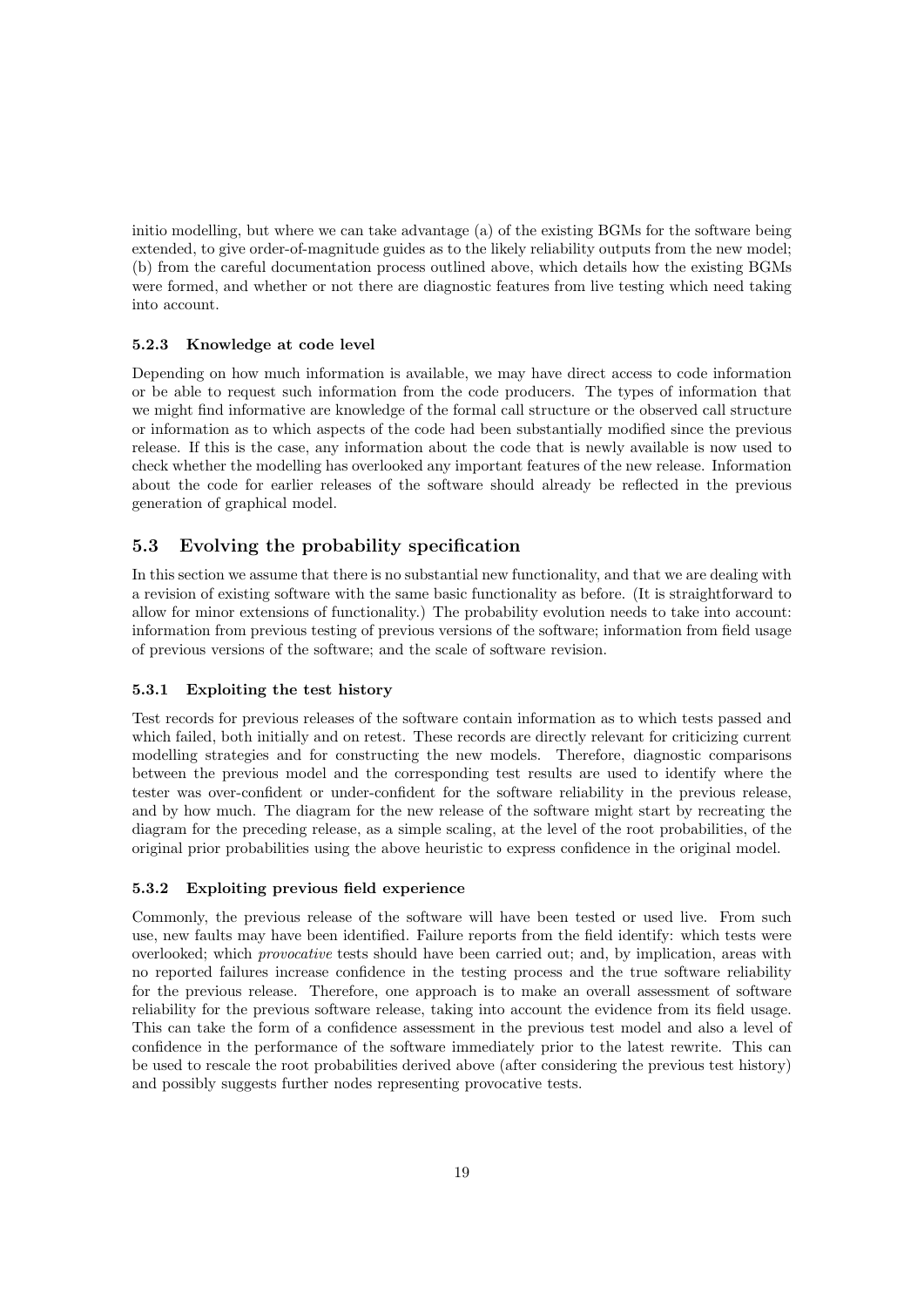initio modelling, but where we can take advantage (a) of the existing BGMs for the software being extended, to give order-of-magnitude guides as to the likely reliability outputs from the new model; (b) from the careful documentation process outlined above, which details how the existing BGMs were formed, and whether or not there are diagnostic features from live testing which need taking into account.

#### 5.2.3 Knowledge at code level

Depending on how much information is available, we may have direct access to code information or be able to request such information from the code producers. The types of information that we might find informative are knowledge of the formal call structure or the observed call structure or information as to which aspects of the code had been substantially modified since the previous release. If this is the case, any information about the code that is newly available is now used to check whether the modelling has overlooked any important features of the new release. Information about the code for earlier releases of the software should already be reflected in the previous generation of graphical model.

# 5.3 Evolving the probability specification

In this section we assume that there is no substantial new functionality, and that we are dealing with a revision of existing software with the same basic functionality as before. (It is straightforward to allow for minor extensions of functionality.) The probability evolution needs to take into account: information from previous testing of previous versions of the software; information from field usage of previous versions of the software; and the scale of software revision.

#### 5.3.1 Exploiting the test history

Test records for previous releases of the software contain information as to which tests passed and which failed, both initially and on retest. These records are directly relevant for criticizing current modelling strategies and for constructing the new models. Therefore, diagnostic comparisons between the previous model and the corresponding test results are used to identify where the tester was over-confident or under-confident for the software reliability in the previous release, and by how much. The diagram for the new release of the software might start by recreating the diagram for the preceding release, as a simple scaling, at the level of the root probabilities, of the original prior probabilities using the above heuristic to express confidence in the original model.

#### 5.3.2 Exploiting previous field experience

Commonly, the previous release of the software will have been tested or used live. From such use, new faults may have been identified. Failure reports from the field identify: which tests were overlooked; which provocative tests should have been carried out; and, by implication, areas with no reported failures increase confidence in the testing process and the true software reliability for the previous release. Therefore, one approach is to make an overall assessment of software reliability for the previous software release, taking into account the evidence from its field usage. This can take the form of a confidence assessment in the previous test model and also a level of confidence in the performance of the software immediately prior to the latest rewrite. This can be used to rescale the root probabilities derived above (after considering the previous test history) and possibly suggests further nodes representing provocative tests.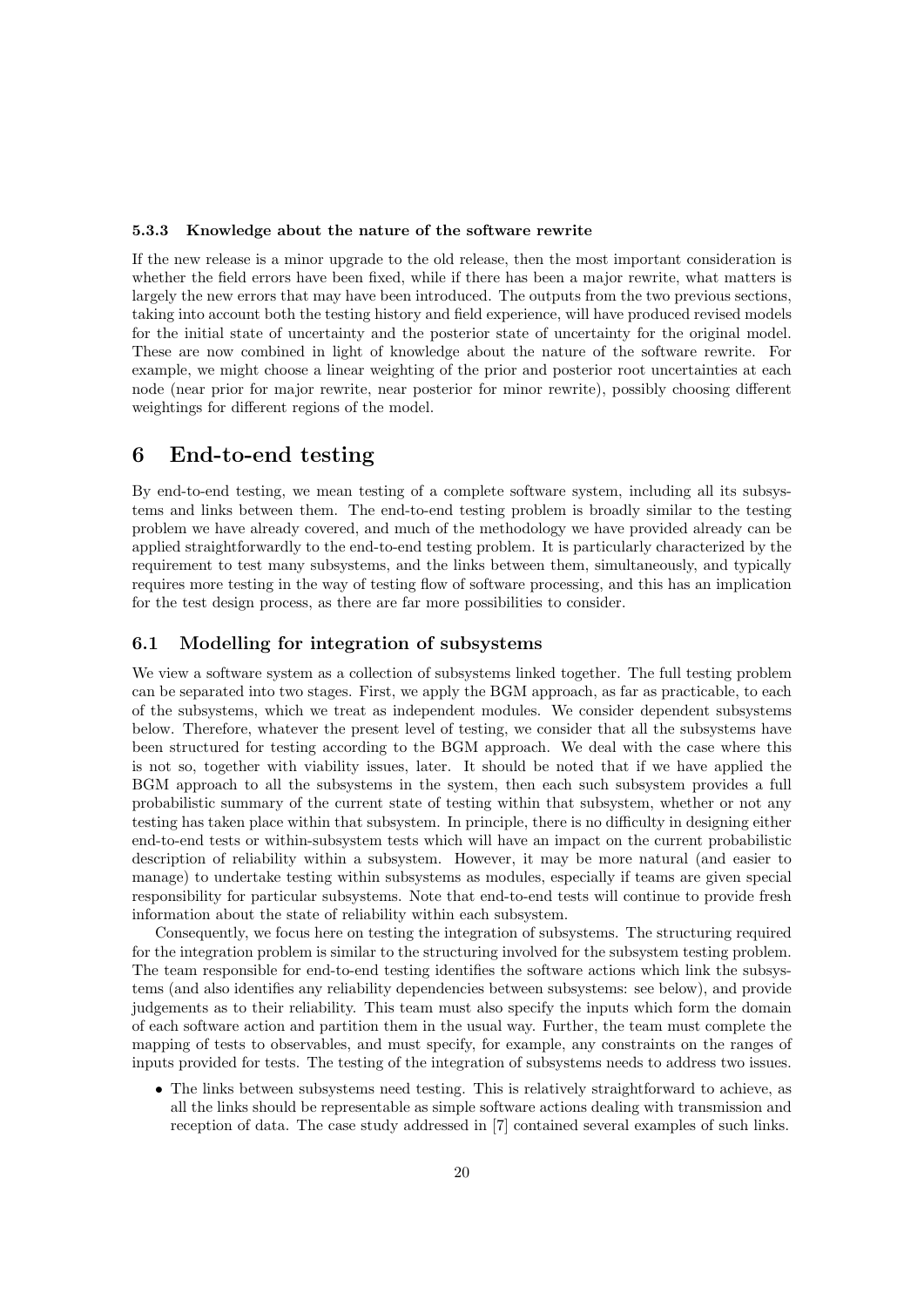#### 5.3.3 Knowledge about the nature of the software rewrite

If the new release is a minor upgrade to the old release, then the most important consideration is whether the field errors have been fixed, while if there has been a major rewrite, what matters is largely the new errors that may have been introduced. The outputs from the two previous sections, taking into account both the testing history and field experience, will have produced revised models for the initial state of uncertainty and the posterior state of uncertainty for the original model. These are now combined in light of knowledge about the nature of the software rewrite. For example, we might choose a linear weighting of the prior and posterior root uncertainties at each node (near prior for major rewrite, near posterior for minor rewrite), possibly choosing different weightings for different regions of the model.

# 6 End-to-end testing

By end-to-end testing, we mean testing of a complete software system, including all its subsystems and links between them. The end-to-end testing problem is broadly similar to the testing problem we have already covered, and much of the methodology we have provided already can be applied straightforwardly to the end-to-end testing problem. It is particularly characterized by the requirement to test many subsystems, and the links between them, simultaneously, and typically requires more testing in the way of testing flow of software processing, and this has an implication for the test design process, as there are far more possibilities to consider.

# 6.1 Modelling for integration of subsystems

We view a software system as a collection of subsystems linked together. The full testing problem can be separated into two stages. First, we apply the BGM approach, as far as practicable, to each of the subsystems, which we treat as independent modules. We consider dependent subsystems below. Therefore, whatever the present level of testing, we consider that all the subsystems have been structured for testing according to the BGM approach. We deal with the case where this is not so, together with viability issues, later. It should be noted that if we have applied the BGM approach to all the subsystems in the system, then each such subsystem provides a full probabilistic summary of the current state of testing within that subsystem, whether or not any testing has taken place within that subsystem. In principle, there is no difficulty in designing either end-to-end tests or within-subsystem tests which will have an impact on the current probabilistic description of reliability within a subsystem. However, it may be more natural (and easier to manage) to undertake testing within subsystems as modules, especially if teams are given special responsibility for particular subsystems. Note that end-to-end tests will continue to provide fresh information about the state of reliability within each subsystem.

Consequently, we focus here on testing the integration of subsystems. The structuring required for the integration problem is similar to the structuring involved for the subsystem testing problem. The team responsible for end-to-end testing identifies the software actions which link the subsystems (and also identifies any reliability dependencies between subsystems: see below), and provide judgements as to their reliability. This team must also specify the inputs which form the domain of each software action and partition them in the usual way. Further, the team must complete the mapping of tests to observables, and must specify, for example, any constraints on the ranges of inputs provided for tests. The testing of the integration of subsystems needs to address two issues.

• The links between subsystems need testing. This is relatively straightforward to achieve, as all the links should be representable as simple software actions dealing with transmission and reception of data. The case study addressed in [7] contained several examples of such links.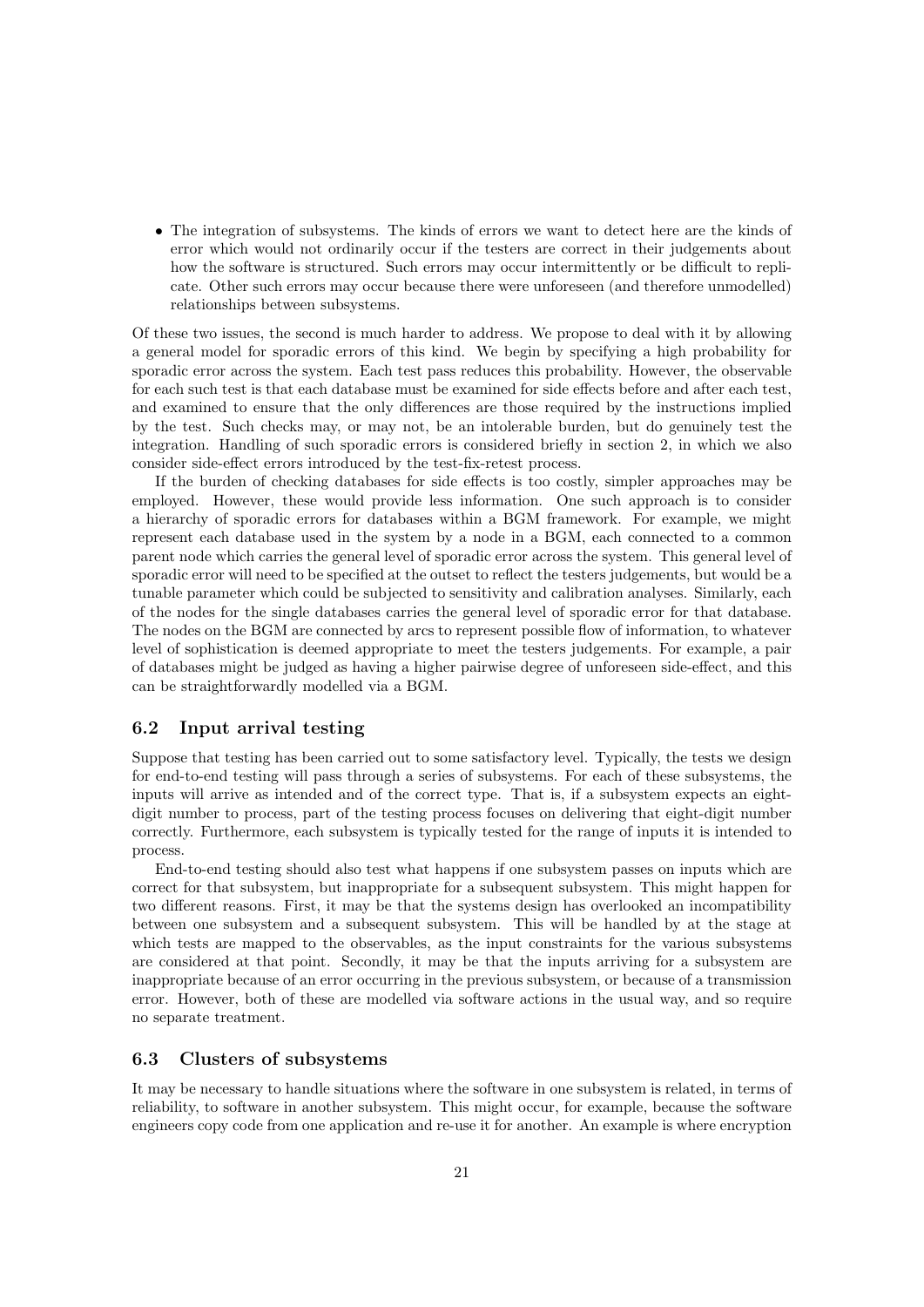• The integration of subsystems. The kinds of errors we want to detect here are the kinds of error which would not ordinarily occur if the testers are correct in their judgements about how the software is structured. Such errors may occur intermittently or be difficult to replicate. Other such errors may occur because there were unforeseen (and therefore unmodelled) relationships between subsystems.

Of these two issues, the second is much harder to address. We propose to deal with it by allowing a general model for sporadic errors of this kind. We begin by specifying a high probability for sporadic error across the system. Each test pass reduces this probability. However, the observable for each such test is that each database must be examined for side effects before and after each test, and examined to ensure that the only differences are those required by the instructions implied by the test. Such checks may, or may not, be an intolerable burden, but do genuinely test the integration. Handling of such sporadic errors is considered briefly in section 2, in which we also consider side-effect errors introduced by the test-fix-retest process.

If the burden of checking databases for side effects is too costly, simpler approaches may be employed. However, these would provide less information. One such approach is to consider a hierarchy of sporadic errors for databases within a BGM framework. For example, we might represent each database used in the system by a node in a BGM, each connected to a common parent node which carries the general level of sporadic error across the system. This general level of sporadic error will need to be specified at the outset to reflect the testers judgements, but would be a tunable parameter which could be subjected to sensitivity and calibration analyses. Similarly, each of the nodes for the single databases carries the general level of sporadic error for that database. The nodes on the BGM are connected by arcs to represent possible flow of information, to whatever level of sophistication is deemed appropriate to meet the testers judgements. For example, a pair of databases might be judged as having a higher pairwise degree of unforeseen side-effect, and this can be straightforwardly modelled via a BGM.

# 6.2 Input arrival testing

Suppose that testing has been carried out to some satisfactory level. Typically, the tests we design for end-to-end testing will pass through a series of subsystems. For each of these subsystems, the inputs will arrive as intended and of the correct type. That is, if a subsystem expects an eightdigit number to process, part of the testing process focuses on delivering that eight-digit number correctly. Furthermore, each subsystem is typically tested for the range of inputs it is intended to process.

End-to-end testing should also test what happens if one subsystem passes on inputs which are correct for that subsystem, but inappropriate for a subsequent subsystem. This might happen for two different reasons. First, it may be that the systems design has overlooked an incompatibility between one subsystem and a subsequent subsystem. This will be handled by at the stage at which tests are mapped to the observables, as the input constraints for the various subsystems are considered at that point. Secondly, it may be that the inputs arriving for a subsystem are inappropriate because of an error occurring in the previous subsystem, or because of a transmission error. However, both of these are modelled via software actions in the usual way, and so require no separate treatment.

# 6.3 Clusters of subsystems

It may be necessary to handle situations where the software in one subsystem is related, in terms of reliability, to software in another subsystem. This might occur, for example, because the software engineers copy code from one application and re-use it for another. An example is where encryption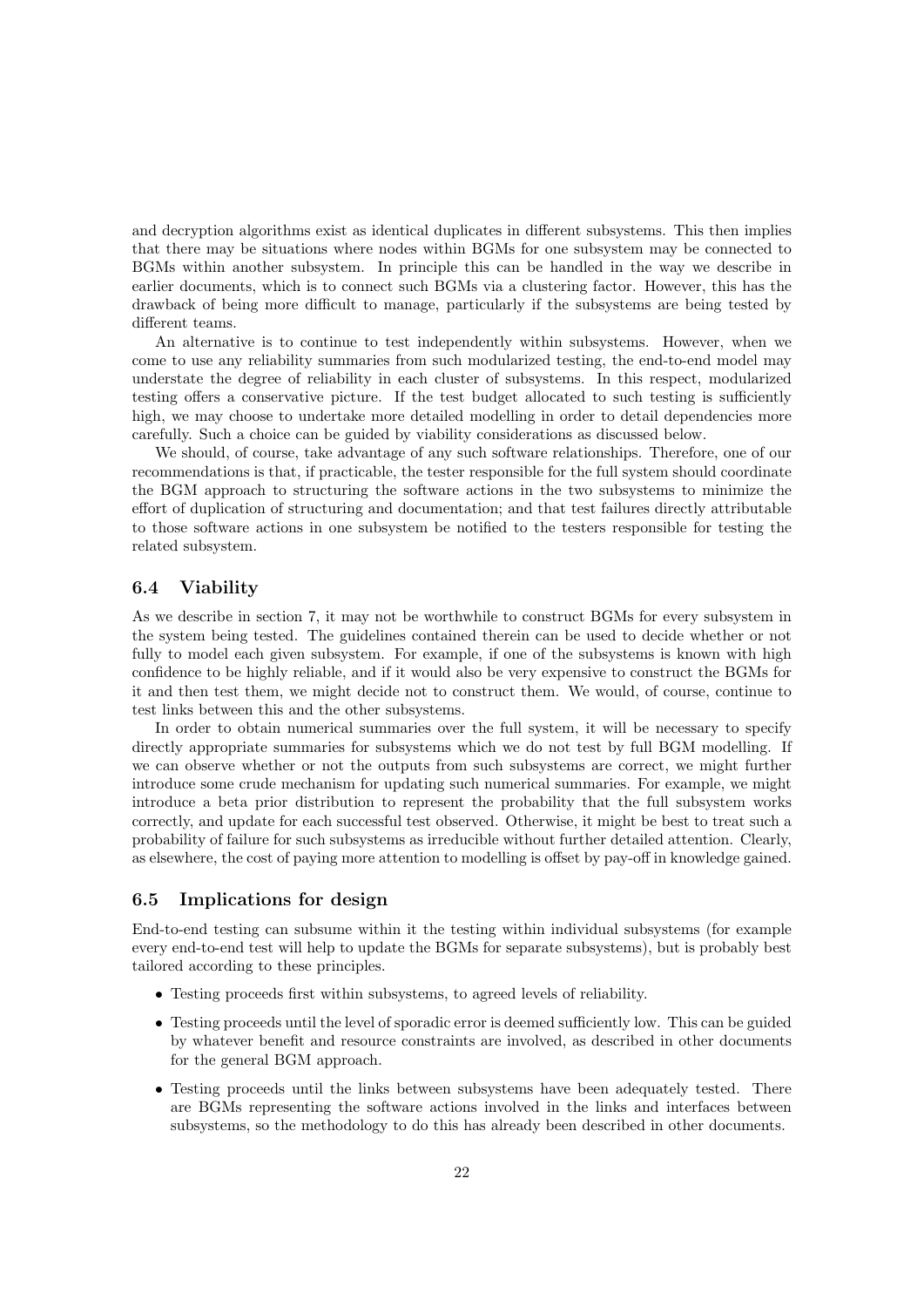and decryption algorithms exist as identical duplicates in different subsystems. This then implies that there may be situations where nodes within BGMs for one subsystem may be connected to BGMs within another subsystem. In principle this can be handled in the way we describe in earlier documents, which is to connect such BGMs via a clustering factor. However, this has the drawback of being more difficult to manage, particularly if the subsystems are being tested by different teams.

An alternative is to continue to test independently within subsystems. However, when we come to use any reliability summaries from such modularized testing, the end-to-end model may understate the degree of reliability in each cluster of subsystems. In this respect, modularized testing offers a conservative picture. If the test budget allocated to such testing is sufficiently high, we may choose to undertake more detailed modelling in order to detail dependencies more carefully. Such a choice can be guided by viability considerations as discussed below.

We should, of course, take advantage of any such software relationships. Therefore, one of our recommendations is that, if practicable, the tester responsible for the full system should coordinate the BGM approach to structuring the software actions in the two subsystems to minimize the effort of duplication of structuring and documentation; and that test failures directly attributable to those software actions in one subsystem be notified to the testers responsible for testing the related subsystem.

# 6.4 Viability

As we describe in section 7, it may not be worthwhile to construct BGMs for every subsystem in the system being tested. The guidelines contained therein can be used to decide whether or not fully to model each given subsystem. For example, if one of the subsystems is known with high confidence to be highly reliable, and if it would also be very expensive to construct the BGMs for it and then test them, we might decide not to construct them. We would, of course, continue to test links between this and the other subsystems.

In order to obtain numerical summaries over the full system, it will be necessary to specify directly appropriate summaries for subsystems which we do not test by full BGM modelling. If we can observe whether or not the outputs from such subsystems are correct, we might further introduce some crude mechanism for updating such numerical summaries. For example, we might introduce a beta prior distribution to represent the probability that the full subsystem works correctly, and update for each successful test observed. Otherwise, it might be best to treat such a probability of failure for such subsystems as irreducible without further detailed attention. Clearly, as elsewhere, the cost of paying more attention to modelling is offset by pay-off in knowledge gained.

# 6.5 Implications for design

End-to-end testing can subsume within it the testing within individual subsystems (for example every end-to-end test will help to update the BGMs for separate subsystems), but is probably best tailored according to these principles.

- Testing proceeds first within subsystems, to agreed levels of reliability.
- Testing proceeds until the level of sporadic error is deemed sufficiently low. This can be guided by whatever benefit and resource constraints are involved, as described in other documents for the general BGM approach.
- Testing proceeds until the links between subsystems have been adequately tested. There are BGMs representing the software actions involved in the links and interfaces between subsystems, so the methodology to do this has already been described in other documents.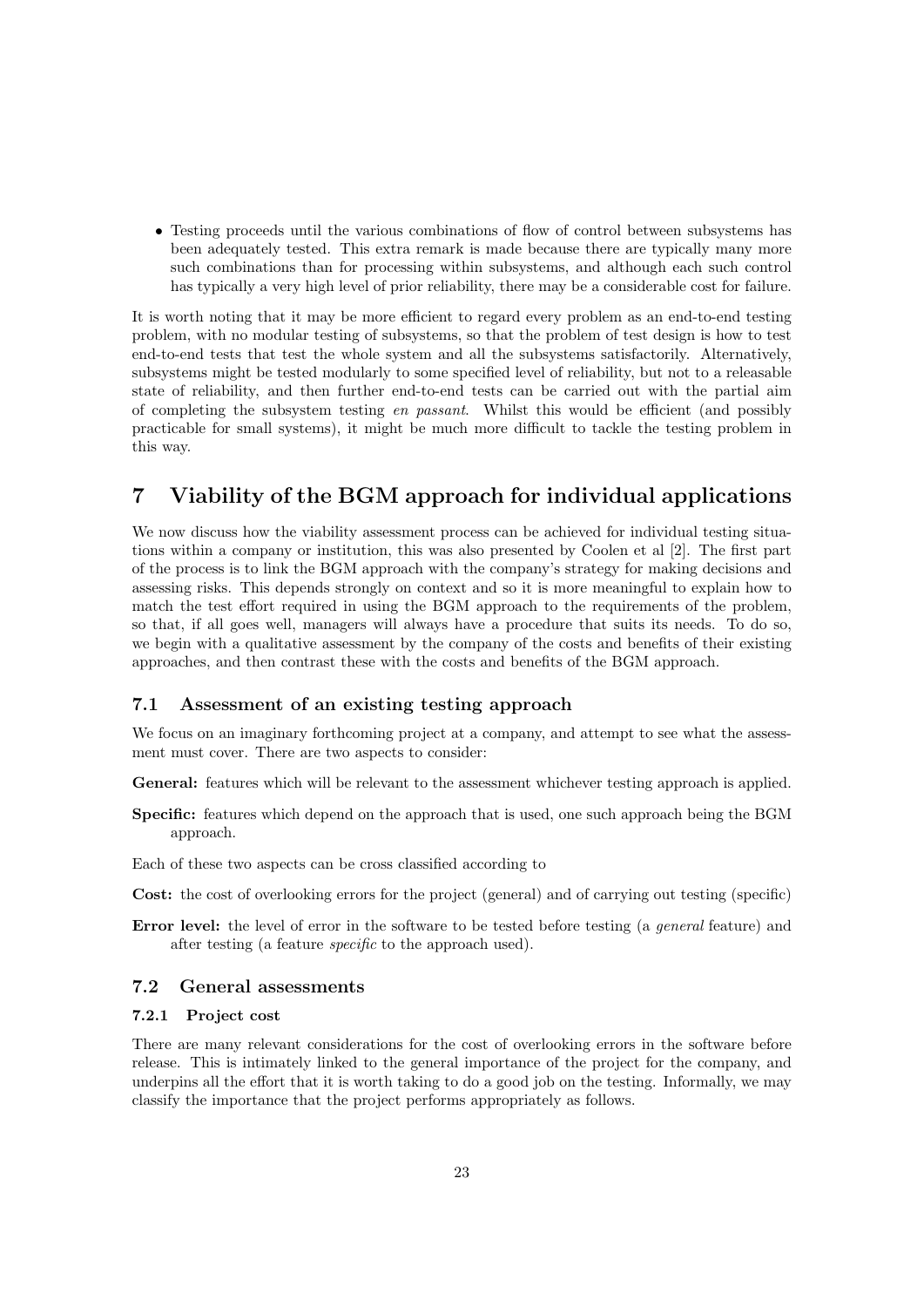• Testing proceeds until the various combinations of flow of control between subsystems has been adequately tested. This extra remark is made because there are typically many more such combinations than for processing within subsystems, and although each such control has typically a very high level of prior reliability, there may be a considerable cost for failure.

It is worth noting that it may be more efficient to regard every problem as an end-to-end testing problem, with no modular testing of subsystems, so that the problem of test design is how to test end-to-end tests that test the whole system and all the subsystems satisfactorily. Alternatively, subsystems might be tested modularly to some specified level of reliability, but not to a releasable state of reliability, and then further end-to-end tests can be carried out with the partial aim of completing the subsystem testing en passant. Whilst this would be efficient (and possibly practicable for small systems), it might be much more difficult to tackle the testing problem in this way.

# 7 Viability of the BGM approach for individual applications

We now discuss how the viability assessment process can be achieved for individual testing situations within a company or institution, this was also presented by Coolen et al [2]. The first part of the process is to link the BGM approach with the company's strategy for making decisions and assessing risks. This depends strongly on context and so it is more meaningful to explain how to match the test effort required in using the BGM approach to the requirements of the problem, so that, if all goes well, managers will always have a procedure that suits its needs. To do so, we begin with a qualitative assessment by the company of the costs and benefits of their existing approaches, and then contrast these with the costs and benefits of the BGM approach.

# 7.1 Assessment of an existing testing approach

We focus on an imaginary forthcoming project at a company, and attempt to see what the assessment must cover. There are two aspects to consider:

General: features which will be relevant to the assessment whichever testing approach is applied.

Specific: features which depend on the approach that is used, one such approach being the BGM approach.

Each of these two aspects can be cross classified according to

Cost: the cost of overlooking errors for the project (general) and of carrying out testing (specific)

Error level: the level of error in the software to be tested before testing (a *general* feature) and after testing (a feature specific to the approach used).

# 7.2 General assessments

#### 7.2.1 Project cost

There are many relevant considerations for the cost of overlooking errors in the software before release. This is intimately linked to the general importance of the project for the company, and underpins all the effort that it is worth taking to do a good job on the testing. Informally, we may classify the importance that the project performs appropriately as follows.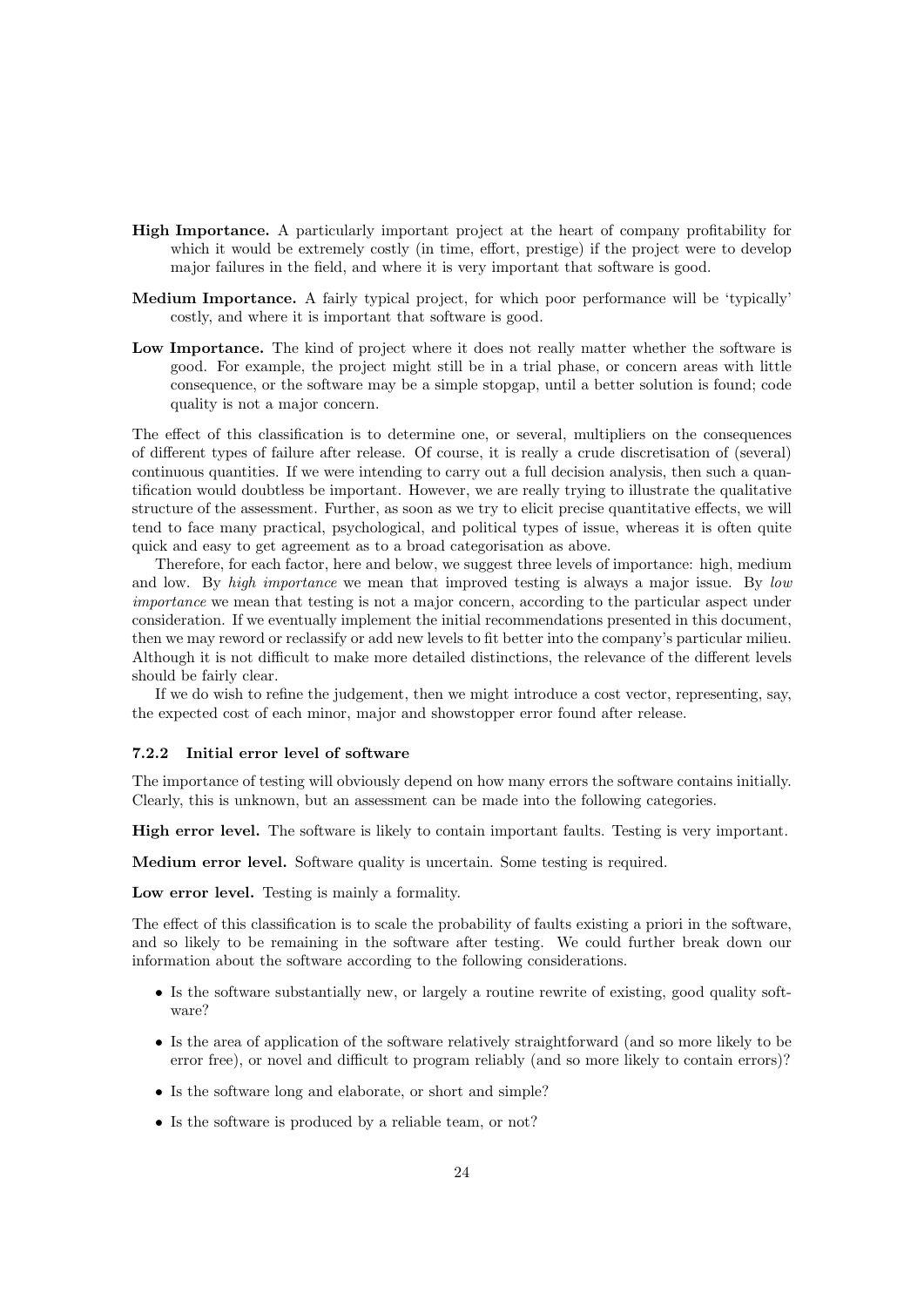- High Importance. A particularly important project at the heart of company profitability for which it would be extremely costly (in time, effort, prestige) if the project were to develop major failures in the field, and where it is very important that software is good.
- Medium Importance. A fairly typical project, for which poor performance will be 'typically' costly, and where it is important that software is good.
- Low Importance. The kind of project where it does not really matter whether the software is good. For example, the project might still be in a trial phase, or concern areas with little consequence, or the software may be a simple stopgap, until a better solution is found; code quality is not a major concern.

The effect of this classification is to determine one, or several, multipliers on the consequences of different types of failure after release. Of course, it is really a crude discretisation of (several) continuous quantities. If we were intending to carry out a full decision analysis, then such a quantification would doubtless be important. However, we are really trying to illustrate the qualitative structure of the assessment. Further, as soon as we try to elicit precise quantitative effects, we will tend to face many practical, psychological, and political types of issue, whereas it is often quite quick and easy to get agreement as to a broad categorisation as above.

Therefore, for each factor, here and below, we suggest three levels of importance: high, medium and low. By *high importance* we mean that improved testing is always a major issue. By low importance we mean that testing is not a major concern, according to the particular aspect under consideration. If we eventually implement the initial recommendations presented in this document, then we may reword or reclassify or add new levels to fit better into the company's particular milieu. Although it is not difficult to make more detailed distinctions, the relevance of the different levels should be fairly clear.

If we do wish to refine the judgement, then we might introduce a cost vector, representing, say, the expected cost of each minor, major and showstopper error found after release.

# 7.2.2 Initial error level of software

The importance of testing will obviously depend on how many errors the software contains initially. Clearly, this is unknown, but an assessment can be made into the following categories.

High error level. The software is likely to contain important faults. Testing is very important.

Medium error level. Software quality is uncertain. Some testing is required.

Low error level. Testing is mainly a formality.

The effect of this classification is to scale the probability of faults existing a priori in the software, and so likely to be remaining in the software after testing. We could further break down our information about the software according to the following considerations.

- Is the software substantially new, or largely a routine rewrite of existing, good quality software?
- Is the area of application of the software relatively straightforward (and so more likely to be error free), or novel and difficult to program reliably (and so more likely to contain errors)?
- Is the software long and elaborate, or short and simple?
- Is the software is produced by a reliable team, or not?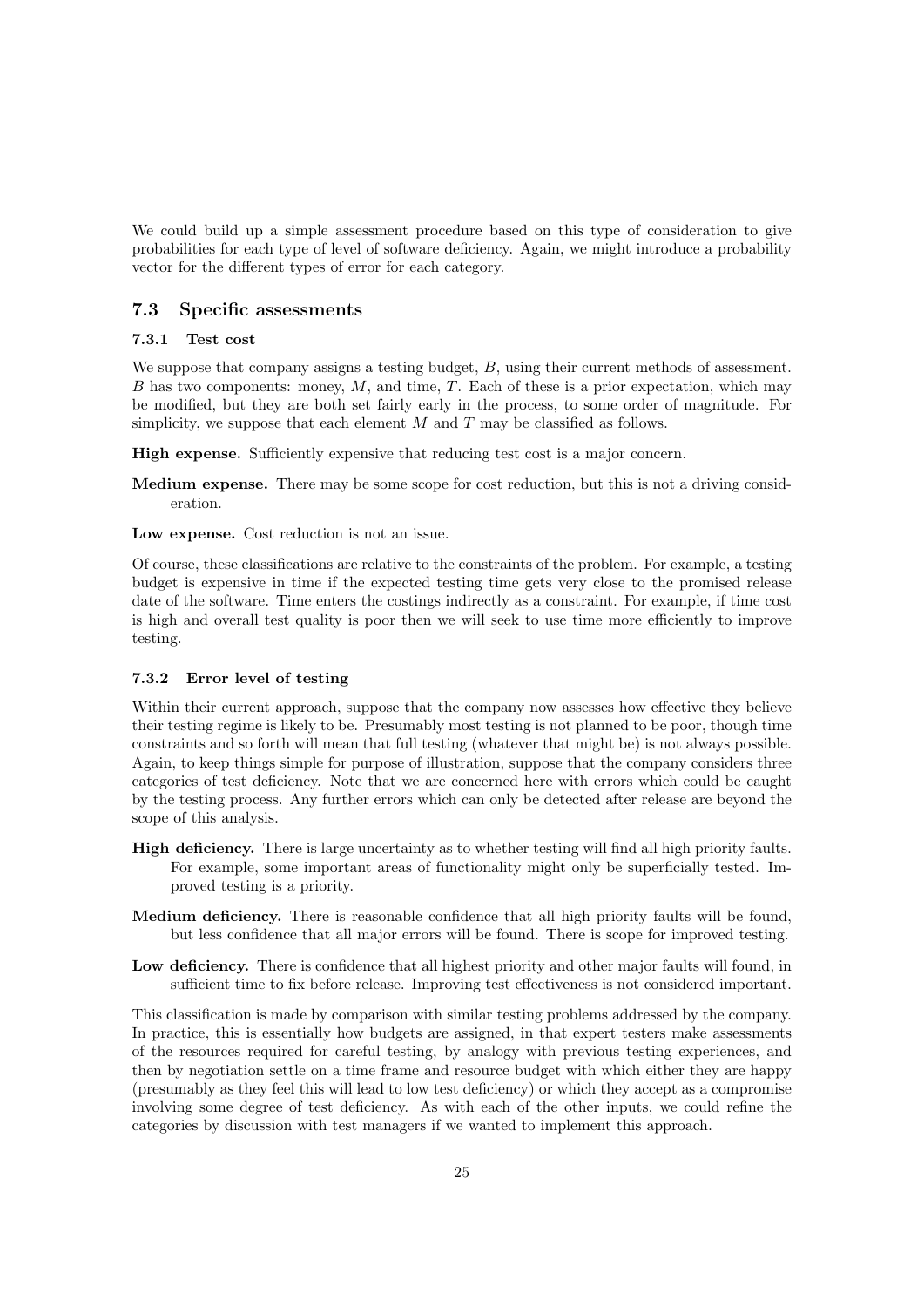We could build up a simple assessment procedure based on this type of consideration to give probabilities for each type of level of software deficiency. Again, we might introduce a probability vector for the different types of error for each category.

# 7.3 Specific assessments

# 7.3.1 Test cost

We suppose that company assigns a testing budget,  $B$ , using their current methods of assessment. B has two components: money,  $M$ , and time,  $T$ . Each of these is a prior expectation, which may be modified, but they are both set fairly early in the process, to some order of magnitude. For simplicity, we suppose that each element  $M$  and  $T$  may be classified as follows.

High expense. Sufficiently expensive that reducing test cost is a major concern.

Medium expense. There may be some scope for cost reduction, but this is not a driving consideration.

Low expense. Cost reduction is not an issue.

Of course, these classifications are relative to the constraints of the problem. For example, a testing budget is expensive in time if the expected testing time gets very close to the promised release date of the software. Time enters the costings indirectly as a constraint. For example, if time cost is high and overall test quality is poor then we will seek to use time more efficiently to improve testing.

#### 7.3.2 Error level of testing

Within their current approach, suppose that the company now assesses how effective they believe their testing regime is likely to be. Presumably most testing is not planned to be poor, though time constraints and so forth will mean that full testing (whatever that might be) is not always possible. Again, to keep things simple for purpose of illustration, suppose that the company considers three categories of test deficiency. Note that we are concerned here with errors which could be caught by the testing process. Any further errors which can only be detected after release are beyond the scope of this analysis.

- High deficiency. There is large uncertainty as to whether testing will find all high priority faults. For example, some important areas of functionality might only be superficially tested. Improved testing is a priority.
- Medium deficiency. There is reasonable confidence that all high priority faults will be found, but less confidence that all major errors will be found. There is scope for improved testing.
- Low deficiency. There is confidence that all highest priority and other major faults will found, in sufficient time to fix before release. Improving test effectiveness is not considered important.

This classification is made by comparison with similar testing problems addressed by the company. In practice, this is essentially how budgets are assigned, in that expert testers make assessments of the resources required for careful testing, by analogy with previous testing experiences, and then by negotiation settle on a time frame and resource budget with which either they are happy (presumably as they feel this will lead to low test deficiency) or which they accept as a compromise involving some degree of test deficiency. As with each of the other inputs, we could refine the categories by discussion with test managers if we wanted to implement this approach.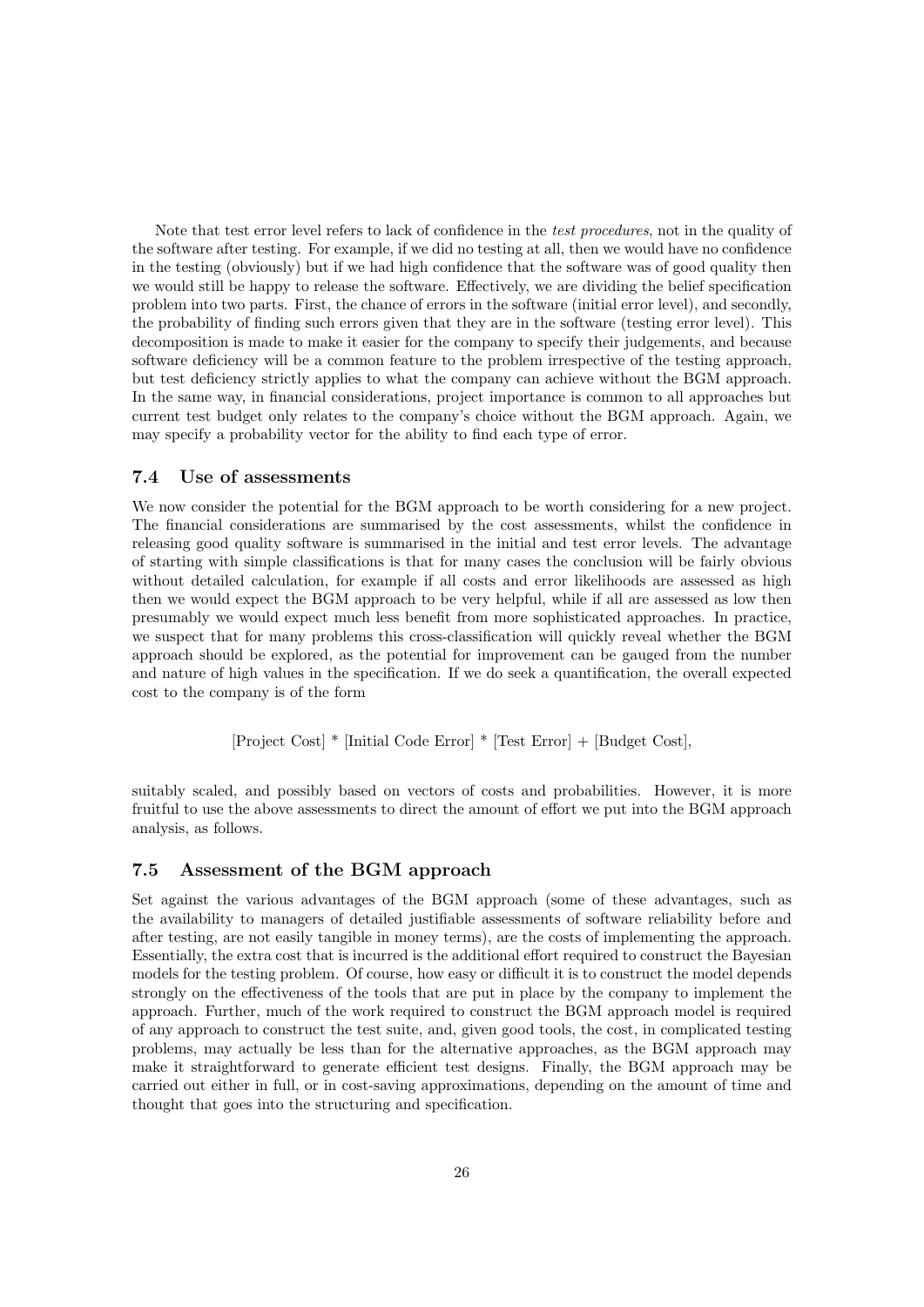Note that test error level refers to lack of confidence in the *test procedures*, not in the quality of the software after testing. For example, if we did no testing at all, then we would have no confidence in the testing (obviously) but if we had high confidence that the software was of good quality then we would still be happy to release the software. Effectively, we are dividing the belief specification problem into two parts. First, the chance of errors in the software (initial error level), and secondly, the probability of finding such errors given that they are in the software (testing error level). This decomposition is made to make it easier for the company to specify their judgements, and because software deficiency will be a common feature to the problem irrespective of the testing approach, but test deficiency strictly applies to what the company can achieve without the BGM approach. In the same way, in financial considerations, project importance is common to all approaches but current test budget only relates to the company's choice without the BGM approach. Again, we may specify a probability vector for the ability to find each type of error.

### 7.4 Use of assessments

We now consider the potential for the BGM approach to be worth considering for a new project. The financial considerations are summarised by the cost assessments, whilst the confidence in releasing good quality software is summarised in the initial and test error levels. The advantage of starting with simple classifications is that for many cases the conclusion will be fairly obvious without detailed calculation, for example if all costs and error likelihoods are assessed as high then we would expect the BGM approach to be very helpful, while if all are assessed as low then presumably we would expect much less benefit from more sophisticated approaches. In practice, we suspect that for many problems this cross-classification will quickly reveal whether the BGM approach should be explored, as the potential for improvement can be gauged from the number and nature of high values in the specification. If we do seek a quantification, the overall expected cost to the company is of the form

[Project Cost] \* [Initial Code Error] \* [Test Error] + [Budget Cost],

suitably scaled, and possibly based on vectors of costs and probabilities. However, it is more fruitful to use the above assessments to direct the amount of effort we put into the BGM approach analysis, as follows.

#### 7.5 Assessment of the BGM approach

Set against the various advantages of the BGM approach (some of these advantages, such as the availability to managers of detailed justifiable assessments of software reliability before and after testing, are not easily tangible in money terms), are the costs of implementing the approach. Essentially, the extra cost that is incurred is the additional effort required to construct the Bayesian models for the testing problem. Of course, how easy or difficult it is to construct the model depends strongly on the effectiveness of the tools that are put in place by the company to implement the approach. Further, much of the work required to construct the BGM approach model is required of any approach to construct the test suite, and, given good tools, the cost, in complicated testing problems, may actually be less than for the alternative approaches, as the BGM approach may make it straightforward to generate efficient test designs. Finally, the BGM approach may be carried out either in full, or in cost-saving approximations, depending on the amount of time and thought that goes into the structuring and specification.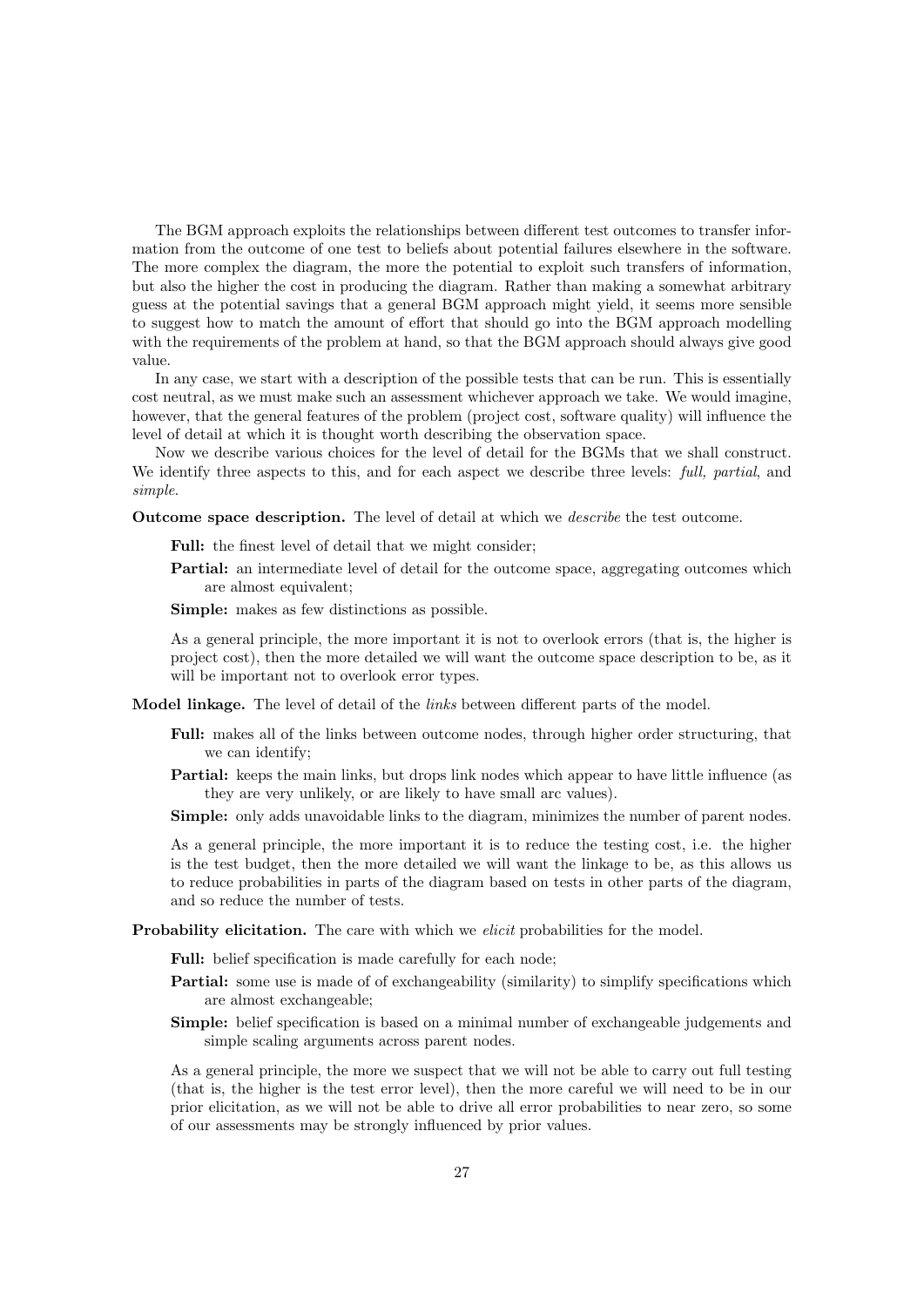The BGM approach exploits the relationships between different test outcomes to transfer information from the outcome of one test to beliefs about potential failures elsewhere in the software. The more complex the diagram, the more the potential to exploit such transfers of information, but also the higher the cost in producing the diagram. Rather than making a somewhat arbitrary guess at the potential savings that a general BGM approach might yield, it seems more sensible to suggest how to match the amount of effort that should go into the BGM approach modelling with the requirements of the problem at hand, so that the BGM approach should always give good value.

In any case, we start with a description of the possible tests that can be run. This is essentially cost neutral, as we must make such an assessment whichever approach we take. We would imagine, however, that the general features of the problem (project cost, software quality) will influence the level of detail at which it is thought worth describing the observation space.

Now we describe various choices for the level of detail for the BGMs that we shall construct. We identify three aspects to this, and for each aspect we describe three levels: full, partial, and simple.

**Outcome space description.** The level of detail at which we *describe* the test outcome.

Full: the finest level of detail that we might consider;

- Partial: an intermediate level of detail for the outcome space, aggregating outcomes which are almost equivalent;
- Simple: makes as few distinctions as possible.

As a general principle, the more important it is not to overlook errors (that is, the higher is project cost), then the more detailed we will want the outcome space description to be, as it will be important not to overlook error types.

Model linkage. The level of detail of the *links* between different parts of the model.

- Full: makes all of the links between outcome nodes, through higher order structuring, that we can identify;
- Partial: keeps the main links, but drops link nodes which appear to have little influence (as they are very unlikely, or are likely to have small arc values).
- Simple: only adds unavoidable links to the diagram, minimizes the number of parent nodes.

As a general principle, the more important it is to reduce the testing cost, i.e. the higher is the test budget, then the more detailed we will want the linkage to be, as this allows us to reduce probabilities in parts of the diagram based on tests in other parts of the diagram, and so reduce the number of tests.

Probability elicitation. The care with which we *elicit* probabilities for the model.

Full: belief specification is made carefully for each node;

- Partial: some use is made of of exchangeability (similarity) to simplify specifications which are almost exchangeable;
- Simple: belief specification is based on a minimal number of exchangeable judgements and simple scaling arguments across parent nodes.

As a general principle, the more we suspect that we will not be able to carry out full testing (that is, the higher is the test error level), then the more careful we will need to be in our prior elicitation, as we will not be able to drive all error probabilities to near zero, so some of our assessments may be strongly influenced by prior values.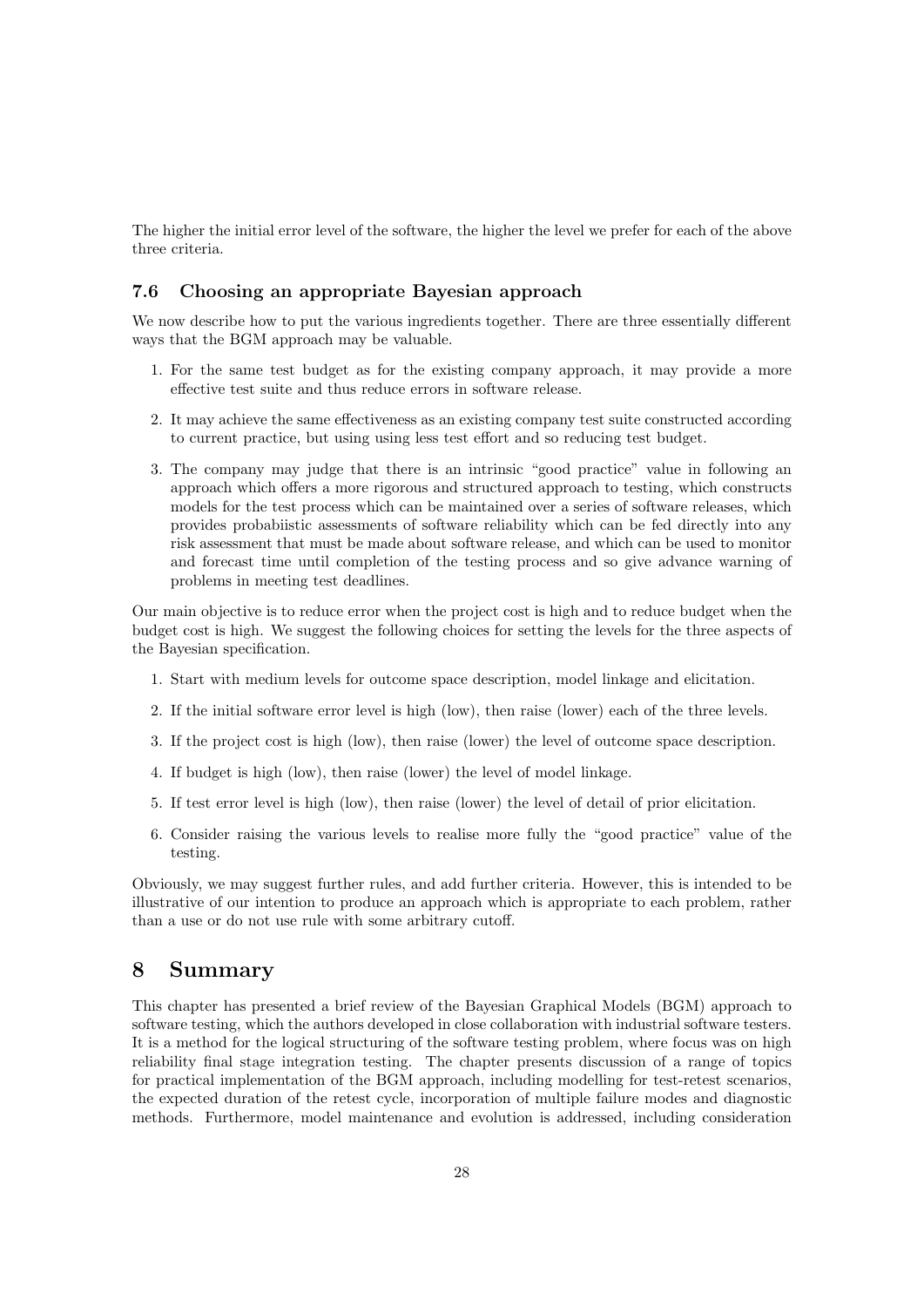The higher the initial error level of the software, the higher the level we prefer for each of the above three criteria.

# 7.6 Choosing an appropriate Bayesian approach

We now describe how to put the various ingredients together. There are three essentially different ways that the BGM approach may be valuable.

- 1. For the same test budget as for the existing company approach, it may provide a more effective test suite and thus reduce errors in software release.
- 2. It may achieve the same effectiveness as an existing company test suite constructed according to current practice, but using using less test effort and so reducing test budget.
- 3. The company may judge that there is an intrinsic "good practice" value in following an approach which offers a more rigorous and structured approach to testing, which constructs models for the test process which can be maintained over a series of software releases, which provides probabiistic assessments of software reliability which can be fed directly into any risk assessment that must be made about software release, and which can be used to monitor and forecast time until completion of the testing process and so give advance warning of problems in meeting test deadlines.

Our main objective is to reduce error when the project cost is high and to reduce budget when the budget cost is high. We suggest the following choices for setting the levels for the three aspects of the Bayesian specification.

- 1. Start with medium levels for outcome space description, model linkage and elicitation.
- 2. If the initial software error level is high (low), then raise (lower) each of the three levels.
- 3. If the project cost is high (low), then raise (lower) the level of outcome space description.
- 4. If budget is high (low), then raise (lower) the level of model linkage.
- 5. If test error level is high (low), then raise (lower) the level of detail of prior elicitation.
- 6. Consider raising the various levels to realise more fully the "good practice" value of the testing.

Obviously, we may suggest further rules, and add further criteria. However, this is intended to be illustrative of our intention to produce an approach which is appropriate to each problem, rather than a use or do not use rule with some arbitrary cutoff.

# 8 Summary

This chapter has presented a brief review of the Bayesian Graphical Models (BGM) approach to software testing, which the authors developed in close collaboration with industrial software testers. It is a method for the logical structuring of the software testing problem, where focus was on high reliability final stage integration testing. The chapter presents discussion of a range of topics for practical implementation of the BGM approach, including modelling for test-retest scenarios, the expected duration of the retest cycle, incorporation of multiple failure modes and diagnostic methods. Furthermore, model maintenance and evolution is addressed, including consideration